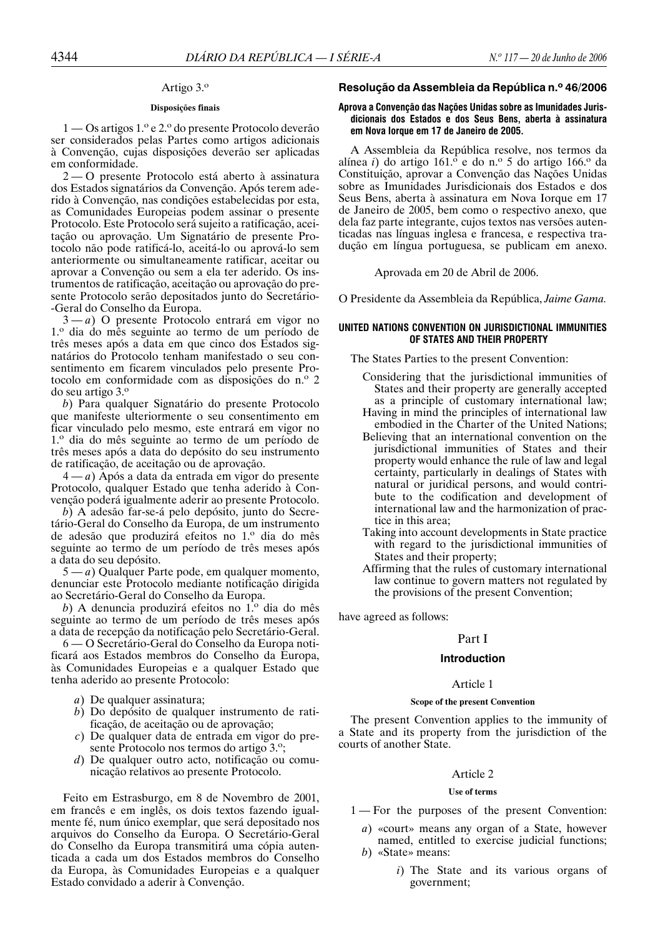## Artigo 3.º

## **Disposições finais**

1 — Os artigos 1.º e 2.º do presente Protocolo deverão ser considerados pelas Partes como artigos adicionais à Convenção, cujas disposições deverão ser aplicadas em conformidade.

2 — O presente Protocolo está aberto à assinatura dos Estados signatários da Convenção. Após terem aderido à Convenção, nas condições estabelecidas por esta, as Comunidades Europeias podem assinar o presente Protocolo. Este Protocolo será sujeito a ratificação, aceitação ou aprovação. Um Signatário de presente Protocolo não pode ratificá-lo, aceitá-lo ou aprová-lo sem anteriormente ou simultaneamente ratificar, aceitar ou aprovar a Convenção ou sem a ela ter aderido. Os instrumentos de ratificação, aceitação ou aprovação do presente Protocolo serão depositados junto do Secretário- -Geral do Conselho da Europa.

3 — *a*) O presente Protocolo entrará em vigor no 1.<sup>o</sup> dia do mês seguinte ao termo de um período de três meses após a data em que cinco dos Estados signatários do Protocolo tenham manifestado o seu consentimento em ficarem vinculados pelo presente Protocolo em conformidade com as disposições do n.º 2 do seu artigo 3.º

*b*) Para qualquer Signatário do presente Protocolo que manifeste ulteriormente o seu consentimento em ficar vinculado pelo mesmo, este entrará em vigor no 1.º dia do mês seguinte ao termo de um período de três meses após a data do depósito do seu instrumento de ratificação, de aceitação ou de aprovação.

4 — *a*) Após a data da entrada em vigor do presente Protocolo, qualquer Estado que tenha aderido à Convenção poderá igualmente aderir ao presente Protocolo.

*b*) A adesão far-se-á pelo depósito, junto do Secretário-Geral do Conselho da Europa, de um instrumento de adesão que produzirá efeitos no 1.º dia do mês seguinte ao termo de um período de três meses após a data do seu depósito.

5 — *a*) Qualquer Parte pode, em qualquer momento, denunciar este Protocolo mediante notificação dirigida ao Secretário-Geral do Conselho da Europa.

*) A denuncia produzirá efeitos no 1.<sup>o</sup> dia do mês* seguinte ao termo de um período de três meses após a data de recepção da notificação pelo Secretário-Geral.

6 — O Secretário-Geral do Conselho da Europa notificará aos Estados membros do Conselho da Europa, às Comunidades Europeias e a qualquer Estado que tenha aderido ao presente Protocolo:

- *a*) De qualquer assinatura;
- *b*) Do depósito de qualquer instrumento de ratificação, de aceitação ou de aprovação;
- *c*) De qualquer data de entrada em vigor do presente Protocolo nos termos do artigo 3.º;
- *d*) De qualquer outro acto, notificação ou comunicação relativos ao presente Protocolo.

Feito em Estrasburgo, em 8 de Novembro de 2001, em francês e em inglês, os dois textos fazendo igualmente fé, num único exemplar, que será depositado nos arquivos do Conselho da Europa. O Secretário-Geral do Conselho da Europa transmitirá uma cópia autenticada a cada um dos Estados membros do Conselho da Europa, às Comunidades Europeias e a qualquer Estado convidado a aderir à Convenção.

# **Resolução da Assembleia da República n.o 46/2006**

## **Aprova a Convenção das Nações Unidas sobre as Imunidades Jurisdicionais dos Estados e dos Seus Bens, aberta à assinatura em Nova Iorque em 17 de Janeiro de 2005.**

A Assembleia da República resolve, nos termos da alínea *i*) do artigo 161.<sup>o</sup> e do n.<sup>o</sup> 5 do artigo 166.<sup>o</sup> da Constituição, aprovar a Convenção das Nações Unidas sobre as Imunidades Jurisdicionais dos Estados e dos Seus Bens, aberta à assinatura em Nova Iorque em 17 de Janeiro de 2005, bem como o respectivo anexo, que dela faz parte integrante, cujos textos nas versões autenticadas nas línguas inglesa e francesa, e respectiva tradução em língua portuguesa, se publicam em anexo.

Aprovada em 20 de Abril de 2006.

O Presidente da Assembleia da República, *Jaime Gama.*

## **UNITED NATIONS CONVENTION ON JURISDICTIONAL IMMUNITIES OF STATES AND THEIR PROPERTY**

The States Parties to the present Convention:

- Considering that the jurisdictional immunities of States and their property are generally accepted as a principle of customary international law;
- Having in mind the principles of international law embodied in the Charter of the United Nations;
- Believing that an international convention on the jurisdictional immunities of States and their property would enhance the rule of law and legal certainty, particularly in dealings of States with natural or juridical persons, and would contribute to the codification and development of international law and the harmonization of practice in this area;
- Taking into account developments in State practice with regard to the jurisdictional immunities of States and their property;
- Affirming that the rules of customary international law continue to govern matters not regulated by the provisions of the present Convention;

have agreed as follows:

## Part I

# **Introduction**

## Article 1

#### **Scope of the present Convention**

The present Convention applies to the immunity of a State and its property from the jurisdiction of the courts of another State.

# Article 2

#### **Use of terms**

- 1 For the purposes of the present Convention:
	- *a*) «court» means any organ of a State, however named, entitled to exercise judicial functions;
	- *b*) «State» means:
		- *i*) The State and its various organs of government;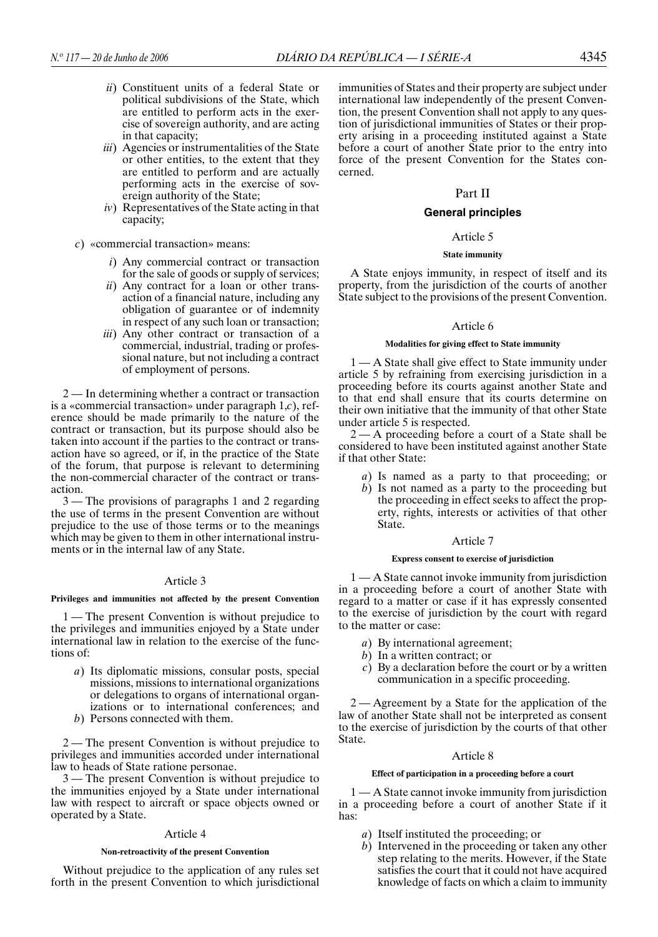- *ii*) Constituent units of a federal State or political subdivisions of the State, which are entitled to perform acts in the exercise of sovereign authority, and are acting in that capacity;
- *iii*) Agencies or instrumentalities of the State or other entities, to the extent that they are entitled to perform and are actually performing acts in the exercise of sovereign authority of the State;
- *iv*) Representatives of the State acting in that capacity;
- *c*) «commercial transaction» means:
	- *i*) Any commercial contract or transaction for the sale of goods or supply of services;
	- *ii*) Any contract for a loan or other transaction of a financial nature, including any obligation of guarantee or of indemnity in respect of any such loan or transaction;
	- *iii*) Any other contract or transaction of a commercial, industrial, trading or professional nature, but not including a contract of employment of persons.

2 — In determining whether a contract or transaction is a «commercial transaction» under paragraph 1,*c*), reference should be made primarily to the nature of the contract or transaction, but its purpose should also be taken into account if the parties to the contract or transaction have so agreed, or if, in the practice of the State of the forum, that purpose is relevant to determining the non-commercial character of the contract or transaction.

3 — The provisions of paragraphs 1 and 2 regarding the use of terms in the present Convention are without prejudice to the use of those terms or to the meanings which may be given to them in other international instruments or in the internal law of any State.

## Article 3

## **Privileges and immunities not affected by the present Convention**

1 — The present Convention is without prejudice to the privileges and immunities enjoyed by a State under international law in relation to the exercise of the functions of:

- *a*) Its diplomatic missions, consular posts, special missions, missions to international organizations or delegations to organs of international organizations or to international conferences; and
- *b*) Persons connected with them.

2— The present Convention is without prejudice to privileges and immunities accorded under international law to heads of State ratione personae.

3 — The present Convention is without prejudice to the immunities enjoyed by a State under international law with respect to aircraft or space objects owned or operated by a State.

## Article 4

## **Non-retroactivity of the present Convention**

Without prejudice to the application of any rules set forth in the present Convention to which jurisdictional immunities of States and their property are subject under international law independently of the present Convention, the present Convention shall not apply to any question of jurisdictional immunities of States or their property arising in a proceeding instituted against a State before a court of another State prior to the entry into force of the present Convention for the States concerned.

# Part II

# **General principles**

## Article 5

## **State immunity**

A State enjoys immunity, in respect of itself and its property, from the jurisdiction of the courts of another State subject to the provisions of the present Convention.

## Article 6

## **Modalities for giving effect to State immunity**

1 — A State shall give effect to State immunity under article 5 by refraining from exercising jurisdiction in a proceeding before its courts against another State and to that end shall ensure that its courts determine on their own initiative that the immunity of that other State under article 5 is respected.

2 — A proceeding before a court of a State shall be considered to have been instituted against another State if that other State:

- *a*) Is named as a party to that proceeding; or
- *b*) Is not named as a party to the proceeding but the proceeding in effect seeks to affect the property, rights, interests or activities of that other State.

## Article 7

## **Express consent to exercise of jurisdiction**

1 — A State cannot invoke immunity from jurisdiction in a proceeding before a court of another State with regard to a matter or case if it has expressly consented to the exercise of jurisdiction by the court with regard to the matter or case:

- *a*) By international agreement;
- *b*) In a written contract; or
- *c*) By a declaration before the court or by a written communication in a specific proceeding.

2 — Agreement by a State for the application of the law of another State shall not be interpreted as consent to the exercise of jurisdiction by the courts of that other State.

## Article 8

## **Effect of participation in a proceeding before a court**

1 — A State cannot invoke immunity from jurisdiction in a proceeding before a court of another State if it has:

- *a*) Itself instituted the proceeding; or
- *b*) Intervened in the proceeding or taken any other step relating to the merits. However, if the State satisfies the court that it could not have acquired knowledge of facts on which a claim to immunity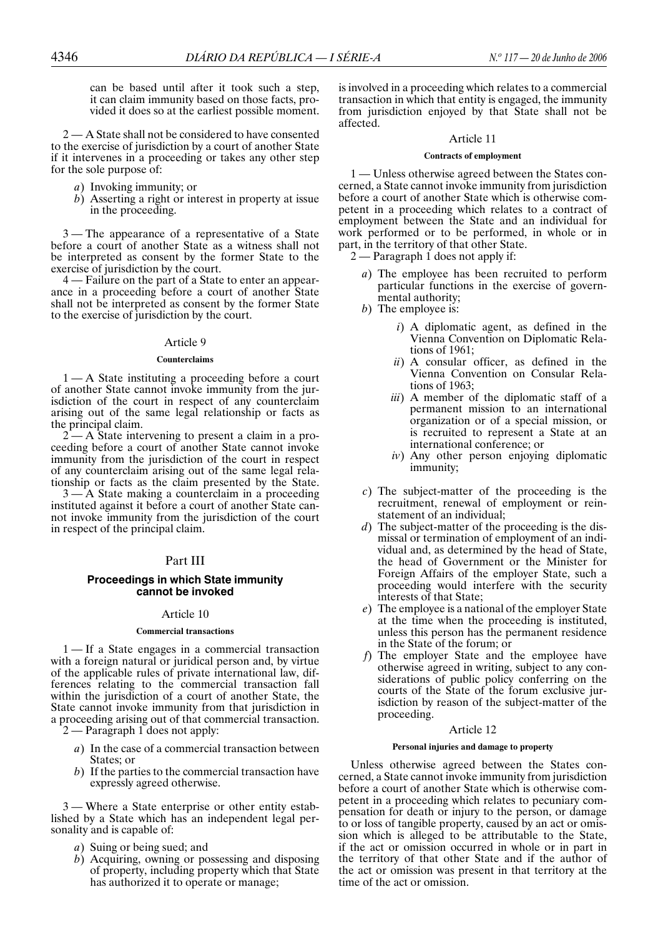can be based until after it took such a step, it can claim immunity based on those facts, provided it does so at the earliest possible moment.

2 — A State shall not be considered to have consented to the exercise of jurisdiction by a court of another State if it intervenes in a proceeding or takes any other step for the sole purpose of:

- *a*) Invoking immunity; or
- *b*) Asserting a right or interest in property at issue in the proceeding.

3 — The appearance of a representative of a State before a court of another State as a witness shall not be interpreted as consent by the former State to the exercise of jurisdiction by the court.

4 — Failure on the part of a State to enter an appearance in a proceeding before a court of another State shall not be interpreted as consent by the former State to the exercise of jurisdiction by the court.

## Article 9

#### **Counterclaims**

1 — A State instituting a proceeding before a court of another State cannot invoke immunity from the jurisdiction of the court in respect of any counterclaim arising out of the same legal relationship or facts as the principal claim.

2 — A State intervening to present a claim in a proceeding before a court of another State cannot invoke immunity from the jurisdiction of the court in respect of any counterclaim arising out of the same legal relationship or facts as the claim presented by the State.

3 — A State making a counterclaim in a proceeding instituted against it before a court of another State cannot invoke immunity from the jurisdiction of the court in respect of the principal claim.

# Part III

# **Proceedings in which State immunity cannot be invoked**

## Article 10

## **Commercial transactions**

1 — If a State engages in a commercial transaction with a foreign natural or juridical person and, by virtue of the applicable rules of private international law, differences relating to the commercial transaction fall within the jurisdiction of a court of another State, the State cannot invoke immunity from that jurisdiction in a proceeding arising out of that commercial transaction.

2 — Paragraph 1 does not apply:

- *a*) In the case of a commercial transaction between States; or
- *b*) If the parties to the commercial transaction have expressly agreed otherwise.

3 — Where a State enterprise or other entity established by a State which has an independent legal personality and is capable of:

- *a*) Suing or being sued; and
- *b*) Acquiring, owning or possessing and disposing of property, including property which that State has authorized it to operate or manage;

is involved in a proceeding which relates to a commercial transaction in which that entity is engaged, the immunity from jurisdiction enjoyed by that State shall not be affected.

## Article 11

## **Contracts of employment**

1 — Unless otherwise agreed between the States concerned, a State cannot invoke immunity from jurisdiction before a court of another State which is otherwise competent in a proceeding which relates to a contract of employment between the State and an individual for work performed or to be performed, in whole or in part, in the territory of that other State.

2 — Paragraph 1 does not apply if:

- *a*) The employee has been recruited to perform particular functions in the exercise of governmental authority;
- *b*) The employee is:
	- *i*) A diplomatic agent, as defined in the Vienna Convention on Diplomatic Relations of 1961;
	- *ii*) A consular officer, as defined in the Vienna Convention on Consular Relations of 1963;
	- *iii*) A member of the diplomatic staff of a permanent mission to an international organization or of a special mission, or is recruited to represent a State at an international conference; or
	- *iv*) Any other person enjoying diplomatic immunity;
- *c*) The subject-matter of the proceeding is the recruitment, renewal of employment or reinstatement of an individual;
- *d*) The subject-matter of the proceeding is the dismissal or termination of employment of an individual and, as determined by the head of State, the head of Government or the Minister for Foreign Affairs of the employer State, such a proceeding would interfere with the security interests of that State;
- *e*) The employee is a national of the employer State at the time when the proceeding is instituted, unless this person has the permanent residence in the State of the forum; or
- *f*) The employer State and the employee have otherwise agreed in writing, subject to any considerations of public policy conferring on the courts of the State of the forum exclusive jurisdiction by reason of the subject-matter of the proceeding.

## Article 12

#### **Personal injuries and damage to property**

Unless otherwise agreed between the States concerned, a State cannot invoke immunity from jurisdiction before a court of another State which is otherwise competent in a proceeding which relates to pecuniary compensation for death or injury to the person, or damage to or loss of tangible property, caused by an act or omission which is alleged to be attributable to the State, if the act or omission occurred in whole or in part in the territory of that other State and if the author of the act or omission was present in that territory at the time of the act or omission.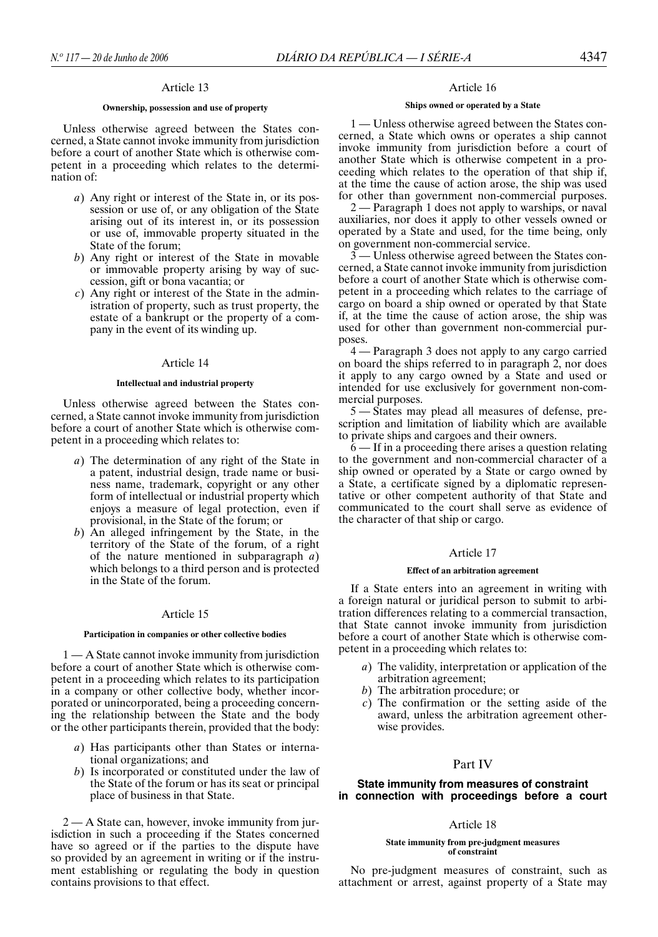#### **Ownership, possession and use of property**

Unless otherwise agreed between the States concerned, a State cannot invoke immunity from jurisdiction before a court of another State which is otherwise competent in a proceeding which relates to the determination of:

- *a*) Any right or interest of the State in, or its possession or use of, or any obligation of the State arising out of its interest in, or its possession or use of, immovable property situated in the State of the forum;
- *b*) Any right or interest of the State in movable or immovable property arising by way of succession, gift or bona vacantia; or
- *c*) Any right or interest of the State in the administration of property, such as trust property, the estate of a bankrupt or the property of a company in the event of its winding up.

# Article 14

#### **Intellectual and industrial property**

Unless otherwise agreed between the States concerned, a State cannot invoke immunity from jurisdiction before a court of another State which is otherwise competent in a proceeding which relates to:

- *a*) The determination of any right of the State in a patent, industrial design, trade name or business name, trademark, copyright or any other form of intellectual or industrial property which enjoys a measure of legal protection, even if provisional, in the State of the forum; or
- *b*) An alleged infringement by the State, in the territory of the State of the forum, of a right of the nature mentioned in subparagraph *a*) which belongs to a third person and is protected in the State of the forum.

#### Article 15

#### **Participation in companies or other collective bodies**

1 — A State cannot invoke immunity from jurisdiction before a court of another State which is otherwise competent in a proceeding which relates to its participation in a company or other collective body, whether incorporated or unincorporated, being a proceeding concerning the relationship between the State and the body or the other participants therein, provided that the body:

- *a*) Has participants other than States or international organizations; and
- *b*) Is incorporated or constituted under the law of the State of the forum or has its seat or principal place of business in that State.

2 — A State can, however, invoke immunity from jurisdiction in such a proceeding if the States concerned have so agreed or if the parties to the dispute have so provided by an agreement in writing or if the instrument establishing or regulating the body in question contains provisions to that effect.

## Article 16

#### **Ships owned or operated by a State**

1 — Unless otherwise agreed between the States concerned, a State which owns or operates a ship cannot invoke immunity from jurisdiction before a court of another State which is otherwise competent in a proceeding which relates to the operation of that ship if, at the time the cause of action arose, the ship was used for other than government non-commercial purposes.

2 — Paragraph 1 does not apply to warships, or naval auxiliaries, nor does it apply to other vessels owned or operated by a State and used, for the time being, only on government non-commercial service.

3 — Unless otherwise agreed between the States concerned, a State cannot invoke immunity from jurisdiction before a court of another State which is otherwise competent in a proceeding which relates to the carriage of cargo on board a ship owned or operated by that State if, at the time the cause of action arose, the ship was used for other than government non-commercial purposes.

4 — Paragraph 3 does not apply to any cargo carried on board the ships referred to in paragraph 2, nor does it apply to any cargo owned by a State and used or intended for use exclusively for government non-commercial purposes.

5 — States may plead all measures of defense, prescription and limitation of liability which are available to private ships and cargoes and their owners.

 $\overline{6}$  — If in a proceeding there arises a question relating to the government and non-commercial character of a ship owned or operated by a State or cargo owned by a State, a certificate signed by a diplomatic representative or other competent authority of that State and communicated to the court shall serve as evidence of the character of that ship or cargo.

# Article 17

#### **Effect of an arbitration agreement**

If a State enters into an agreement in writing with a foreign natural or juridical person to submit to arbitration differences relating to a commercial transaction, that State cannot invoke immunity from jurisdiction before a court of another State which is otherwise competent in a proceeding which relates to:

- *a*) The validity, interpretation or application of the arbitration agreement;
- *b*) The arbitration procedure; or
- *c*) The confirmation or the setting aside of the award, unless the arbitration agreement otherwise provides.

# Part IV

## **State immunity from measures of constraint in connection with proceedings before a court**

## Article 18

#### **State immunity from pre-judgment measures of constraint**

No pre-judgment measures of constraint, such as attachment or arrest, against property of a State may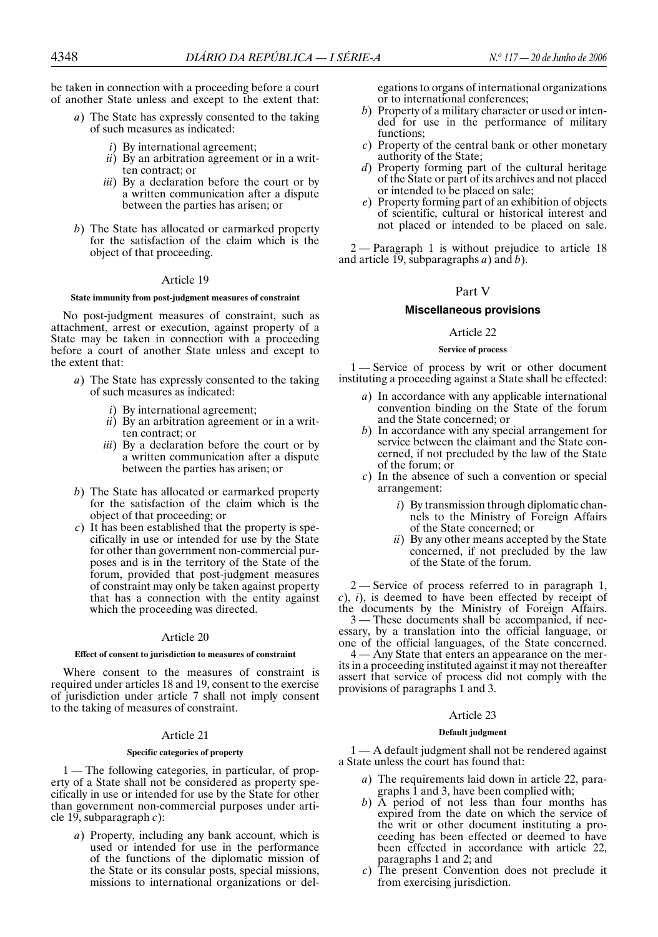be taken in connection with a proceeding before a court of another State unless and except to the extent that:

- *a*) The State has expressly consented to the taking of such measures as indicated:
	- *i*) By international agreement;
	- *ii*) By an arbitration agreement or in a written contract; or
	- *iii*) By a declaration before the court or by a written communication after a dispute between the parties has arisen; or
- *b*) The State has allocated or earmarked property for the satisfaction of the claim which is the object of that proceeding.

## Article 19

## **State immunity from post-judgment measures of constraint**

No post-judgment measures of constraint, such as attachment, arrest or execution, against property of a State may be taken in connection with a proceeding before a court of another State unless and except to the extent that:

- *a*) The State has expressly consented to the taking of such measures as indicated:
	- *i*) By international agreement;
	- *ii*) By an arbitration agreement or in a written contract; or
	- *iii*) By a declaration before the court or by a written communication after a dispute between the parties has arisen; or
- *b*) The State has allocated or earmarked property for the satisfaction of the claim which is the object of that proceeding; or
- *c*) It has been established that the property is specifically in use or intended for use by the State for other than government non-commercial purposes and is in the territory of the State of the forum, provided that post-judgment measures of constraint may only be taken against property that has a connection with the entity against which the proceeding was directed.

#### Article 20

#### **Effect of consent to jurisdiction to measures of constraint**

Where consent to the measures of constraint is required under articles 18 and 19, consent to the exercise of jurisdiction under article 7 shall not imply consent to the taking of measures of constraint.

# Article 21

#### **Specific categories of property**

1 — The following categories, in particular, of property of a State shall not be considered as property specifically in use or intended for use by the State for other than government non-commercial purposes under article 19, subparagraph *c*):

*a*) Property, including any bank account, which is used or intended for use in the performance of the functions of the diplomatic mission of the State or its consular posts, special missions, missions to international organizations or delegations to organs of international organizations or to international conferences;

- *b*) Property of a military character or used or intended for use in the performance of military functions;
- *c*) Property of the central bank or other monetary authority of the State;
- *d*) Property forming part of the cultural heritage of the State or part of its archives and not placed or intended to be placed on sale;
- *e*) Property forming part of an exhibition of objects of scientific, cultural or historical interest and not placed or intended to be placed on sale.

2 — Paragraph 1 is without prejudice to article 18 and article 19, subparagraphs *a*) and *b*).

## Part V

# **Miscellaneous provisions**

# Article 22

#### **Service of process**

1 — Service of process by writ or other document instituting a proceeding against a State shall be effected:

- *a*) In accordance with any applicable international convention binding on the State of the forum and the State concerned; or
- *b*) In accordance with any special arrangement for service between the claimant and the State concerned, if not precluded by the law of the State of the forum; or
- *c*) In the absence of such a convention or special arrangement:
	- *i*) By transmission through diplomatic channels to the Ministry of Foreign Affairs of the State concerned; or
	- *ii*) By any other means accepted by the State concerned, if not precluded by the law of the State of the forum.

2 — Service of process referred to in paragraph 1, *c*), *i*), is deemed to have been effected by receipt of the documents by the Ministry of Foreign Affairs. 3 — These documents shall be accompanied, if necessary, by a translation into the official language, or one of the official languages, of the State concerned.

4 — Any State that enters an appearance on the merits in a proceeding instituted against it may not thereafter assert that service of process did not comply with the provisions of paragraphs 1 and 3.

#### Article 23

## **Default judgment**

1 — A default judgment shall not be rendered against a State unless the court has found that:

- *a*) The requirements laid down in article 22, paragraphs 1 and 3, have been complied with;
- *b*) A period of not less than four months has expired from the date on which the service of the writ or other document instituting a proceeding has been effected or deemed to have been effected in accordance with article 22, paragraphs 1 and 2; and
- *c*) The present Convention does not preclude it from exercising jurisdiction.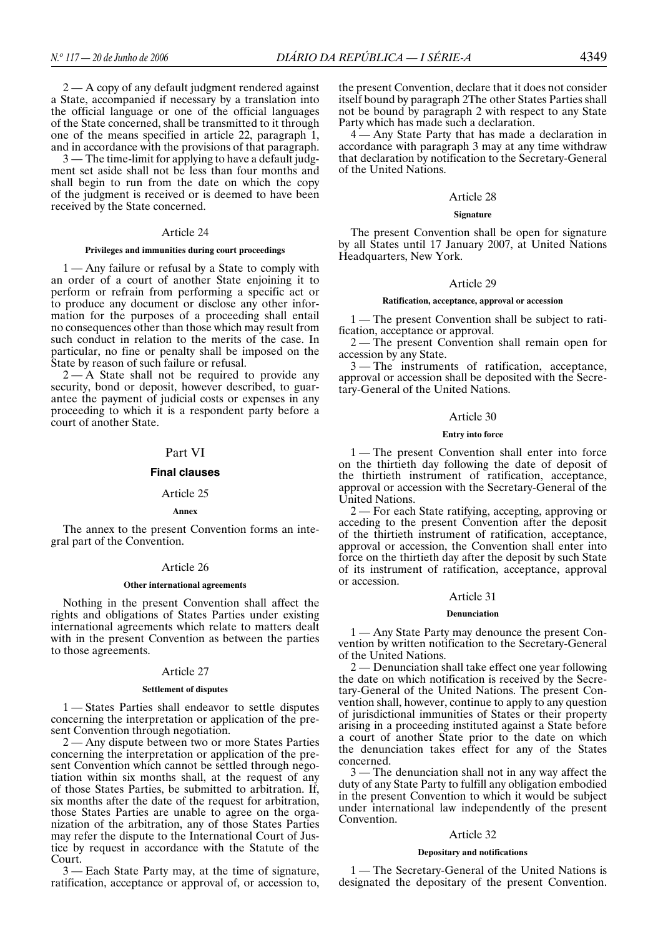2 — A copy of any default judgment rendered against a State, accompanied if necessary by a translation into the official language or one of the official languages of the State concerned, shall be transmitted to it through one of the means specified in article 22, paragraph 1, and in accordance with the provisions of that paragraph.

3 — The time-limit for applying to have a default judgment set aside shall not be less than four months and shall begin to run from the date on which the copy of the judgment is received or is deemed to have been received by the State concerned.

#### Article 24

### **Privileges and immunities during court proceedings**

1 — Any failure or refusal by a State to comply with an order of a court of another State enjoining it to perform or refrain from performing a specific act or to produce any document or disclose any other information for the purposes of a proceeding shall entail no consequences other than those which may result from such conduct in relation to the merits of the case. In particular, no fine or penalty shall be imposed on the State by reason of such failure or refusal.

 $2 - A$  State shall not be required to provide any security, bond or deposit, however described, to guarantee the payment of judicial costs or expenses in any proceeding to which it is a respondent party before a court of another State.

# Part VI

# **Final clauses**

#### Article 25

## **Annex**

The annex to the present Convention forms an integral part of the Convention.

#### Article 26

#### **Other international agreements**

Nothing in the present Convention shall affect the rights and obligations of States Parties under existing international agreements which relate to matters dealt with in the present Convention as between the parties to those agreements.

#### Article 27

#### **Settlement of disputes**

1 — States Parties shall endeavor to settle disputes concerning the interpretation or application of the present Convention through negotiation.

2 — Any dispute between two or more States Parties concerning the interpretation or application of the present Convention which cannot be settled through negotiation within six months shall, at the request of any of those States Parties, be submitted to arbitration. If, six months after the date of the request for arbitration, those States Parties are unable to agree on the organization of the arbitration, any of those States Parties may refer the dispute to the International Court of Justice by request in accordance with the Statute of the Court.

3 — Each State Party may, at the time of signature, ratification, acceptance or approval of, or accession to, the present Convention, declare that it does not consider itself bound by paragraph 2The other States Parties shall not be bound by paragraph 2 with respect to any State Party which has made such a declaration.

4 — Any State Party that has made a declaration in accordance with paragraph 3 may at any time withdraw that declaration by notification to the Secretary-General of the United Nations.

## Article 28

#### **Signature**

The present Convention shall be open for signature by all States until 17 January 2007, at United Nations Headquarters, New York.

#### Article 29

#### **Ratification, acceptance, approval or accession**

1 — The present Convention shall be subject to ratification, acceptance or approval.

2 — The present Convention shall remain open for accession by any State.

3 — The instruments of ratification, acceptance, approval or accession shall be deposited with the Secretary-General of the United Nations.

#### Article 30

## **Entry into force**

1 — The present Convention shall enter into force on the thirtieth day following the date of deposit of the thirtieth instrument of ratification, acceptance, approval or accession with the Secretary-General of the United Nations.

2 — For each State ratifying, accepting, approving or acceding to the present Convention after the deposit of the thirtieth instrument of ratification, acceptance, approval or accession, the Convention shall enter into force on the thirtieth day after the deposit by such State of its instrument of ratification, acceptance, approval or accession.

#### Article 31

#### **Denunciation**

1 — Any State Party may denounce the present Convention by written notification to the Secretary-General of the United Nations.

2 — Denunciation shall take effect one year following the date on which notification is received by the Secretary-General of the United Nations. The present Convention shall, however, continue to apply to any question of jurisdictional immunities of States or their property arising in a proceeding instituted against a State before a court of another State prior to the date on which the denunciation takes effect for any of the States concerned.

3 — The denunciation shall not in any way affect the duty of any State Party to fulfill any obligation embodied in the present Convention to which it would be subject under international law independently of the present Convention.

## Article 32

#### **Depositary and notifications**

1 — The Secretary-General of the United Nations is designated the depositary of the present Convention.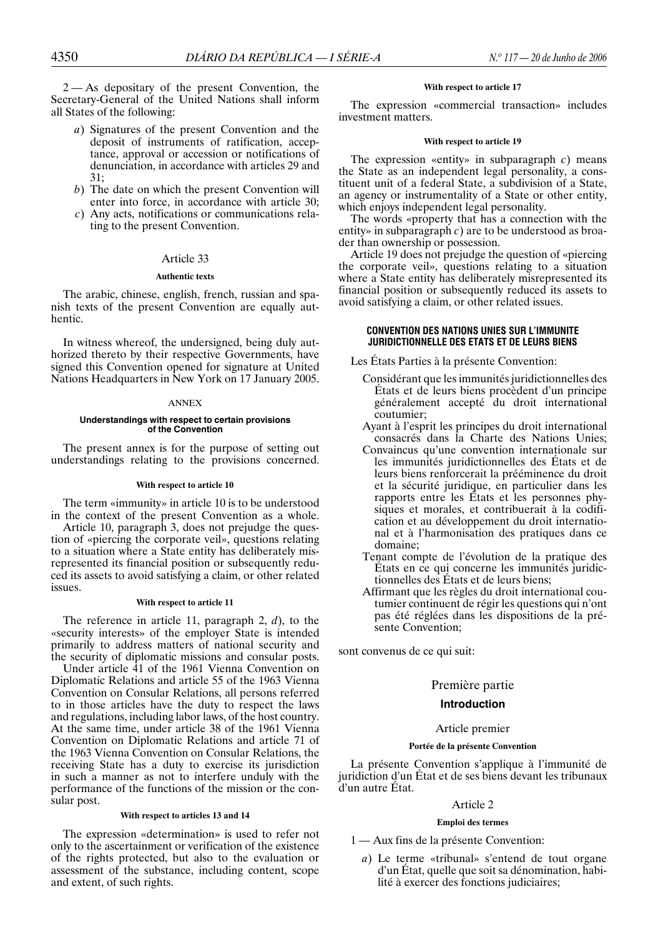2 — As depositary of the present Convention, the Secretary-General of the United Nations shall inform all States of the following:

- *a*) Signatures of the present Convention and the deposit of instruments of ratification, acceptance, approval or accession or notifications of denunciation, in accordance with articles 29 and  $31$
- *b*) The date on which the present Convention will enter into force, in accordance with article 30;
- *c*) Any acts, notifications or communications relating to the present Convention.

## Article 33

#### **Authentic texts**

The arabic, chinese, english, french, russian and spanish texts of the present Convention are equally authentic.

In witness whereof, the undersigned, being duly authorized thereto by their respective Governments, have signed this Convention opened for signature at United Nations Headquarters in New York on 17 January 2005.

#### ANNEX

#### **Understandings with respect to certain provisions of the Convention**

The present annex is for the purpose of setting out understandings relating to the provisions concerned.

#### **With respect to article 10**

The term «immunity» in article 10 is to be understood in the context of the present Convention as a whole.

Article 10, paragraph 3, does not prejudge the question of «piercing the corporate veil», questions relating to a situation where a State entity has deliberately misrepresented its financial position or subsequently reduced its assets to avoid satisfying a claim, or other related issues.

#### **With respect to article 11**

The reference in article 11, paragraph 2, *d*), to the «security interests» of the employer State is intended primarily to address matters of national security and the security of diplomatic missions and consular posts.

Under article 41 of the 1961 Vienna Convention on Diplomatic Relations and article 55 of the 1963 Vienna Convention on Consular Relations, all persons referred to in those articles have the duty to respect the laws and regulations, including labor laws, of the host country. At the same time, under article 38 of the 1961 Vienna Convention on Diplomatic Relations and article 71 of the 1963 Vienna Convention on Consular Relations, the receiving State has a duty to exercise its jurisdiction in such a manner as not to interfere unduly with the performance of the functions of the mission or the consular post.

# **With respect to articles 13 and 14**

The expression «determination» is used to refer not only to the ascertainment or verification of the existence of the rights protected, but also to the evaluation or assessment of the substance, including content, scope and extent, of such rights.

#### **With respect to article 17**

The expression «commercial transaction» includes investment matters.

#### **With respect to article 19**

The expression «entity» in subparagraph *c*) means the State as an independent legal personality, a constituent unit of a federal State, a subdivision of a State, an agency or instrumentality of a State or other entity, which enjoys independent legal personality.

The words «property that has a connection with the entity» in subparagraph *c*) are to be understood as broader than ownership or possession.

Article 19 does not prejudge the question of «piercing the corporate veil», questions relating to a situation where a State entity has deliberately misrepresented its financial position or subsequently reduced its assets to avoid satisfying a claim, or other related issues.

## **CONVENTION DES NATIONS UNIES SUR L'IMMUNITE JURIDICTIONNELLE DES ETATS ET DE LEURS BIENS**

Les États Parties à la présente Convention:

- Considérant que les immunités juridictionnelles des États et de leurs biens procèdent d'un principe généralement accepté du droit international coutumier;
- Ayant à l'esprit les principes du droit international consacrés dans la Charte des Nations Unies;
- Convaincus qu'une convention internationale sur les immunités juridictionnelles des États et de leurs biens renforcerait la prééminence du droit et la sécurité juridique, en particulier dans les rapports entre les États et les personnes physiques et morales, et contribuerait à la codification et au développement du droit international et à l'harmonisation des pratiques dans ce domaine;
- Tenant compte de l'évolution de la pratique des États en ce qui concerne les immunités juridictionnelles des États et de leurs biens;
- Affirmant que les règles du droit international coutumier continuent de régir les questions qui n'ont pas été réglées dans les dispositions de la présente Convention;

sont convenus de ce qui suit:

## Première partie

## **Introduction**

#### Article premier

#### **Portée de la présente Convention**

La présente Convention s'applique à l'immunité de juridiction d'un État et de ses biens devant les tribunaux d'un autre État.

## Article 2

#### **Emploi des termes**

- 1 Aux fins de la présente Convention:
	- *a*) Le terme «tribunal» s'entend de tout organe d'un État, quelle que soit sa dénomination, habilité à exercer des fonctions judiciaires;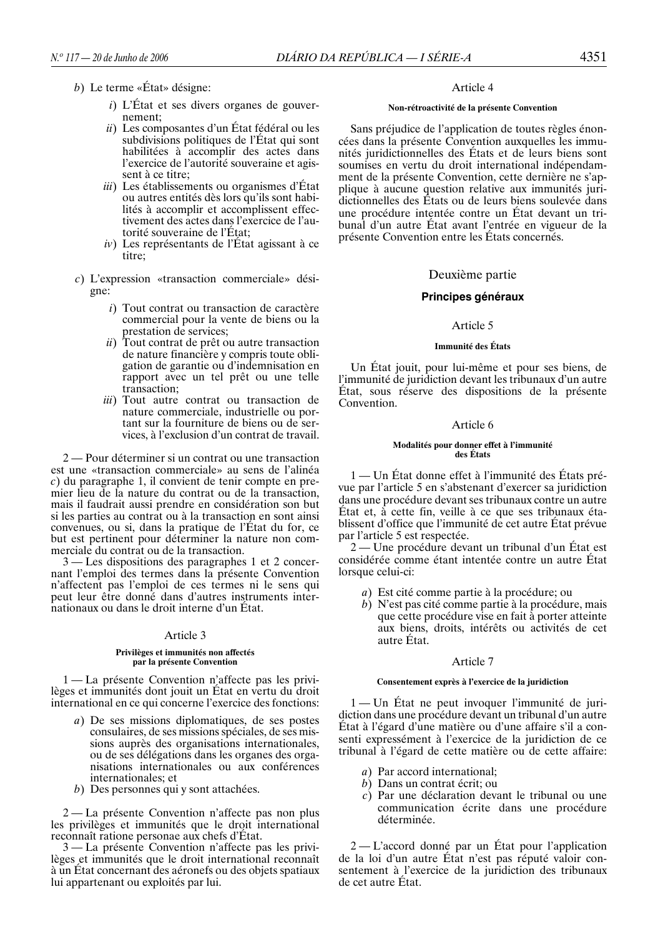- *b*) Le terme «État» désigne:
	- *i*) L'État et ses divers organes de gouvernement;
	- *ii*) Les composantes d'un État fédéral ou les subdivisions politiques de l'État qui sont habilitées à accomplir des actes dans l'exercice de l'autorité souveraine et agissent à ce titre;
	- *iii*) Les établissements ou organismes d'État ou autres entités dès lors qu'ils sont habilités à accomplir et accomplissent effectivement des actes dans l'exercice de l'autorité souveraine de l'État;
	- *iv*) Les représentants de l'État agissant à ce titre;
- *c*) L'expression «transaction commerciale» désigne:
	- *i*) Tout contrat ou transaction de caractère commercial pour la vente de biens ou la prestation de services;
	- *ii*) Tout contrat de prêt ou autre transaction de nature financière y compris toute obligation de garantie ou d'indemnisation en rapport avec un tel prêt ou une telle transaction;
	- *iii*) Tout autre contrat ou transaction de nature commerciale, industrielle ou portant sur la fourniture de biens ou de services, à l'exclusion d'un contrat de travail.

2 — Pour déterminer si un contrat ou une transaction est une «transaction commerciale» au sens de l'alinéa *c*) du paragraphe 1, il convient de tenir compte en premier lieu de la nature du contrat ou de la transaction, mais il faudrait aussi prendre en considération son but si les parties au contrat ou à la transaction en sont ainsi convenues, ou si, dans la pratique de l'État du for, ce but est pertinent pour déterminer la nature non commerciale du contrat ou de la transaction.

3 — Les dispositions des paragraphes 1 et 2 concernant l'emploi des termes dans la présente Convention n'affectent pas l'emploi de ces termes ni le sens qui peut leur être donné dans d'autres instruments internationaux ou dans le droit interne d'un État.

## Article 3

#### **Privilèges et immunités non affectés par la présente Convention**

1 — La présente Convention n'affecte pas les privilèges et immunités dont jouit un État en vertu du droit international en ce qui concerne l'exercice des fonctions:

- *a*) De ses missions diplomatiques, de ses postes consulaires, de ses missions spéciales, de ses missions auprès des organisations internationales, ou de ses délégations dans les organes des organisations internationales ou aux conférences internationales; et
- *b*) Des personnes qui y sont attachées.

2 — La présente Convention n'affecte pas non plus les privilèges et immunités que le droit international reconnaît ratione personae aux chefs d'État.

3 — La présente Convention n'affecte pas les privilèges et immunités que le droit international reconnaît à un État concernant des aéronefs ou des objets spatiaux lui appartenant ou exploités par lui.

# Article 4

## **Non-rétroactivité de la présente Convention**

Sans préjudice de l'application de toutes règles énoncées dans la présente Convention auxquelles les immunités juridictionnelles des États et de leurs biens sont soumises en vertu du droit international indépendamment de la présente Convention, cette dernière ne s'applique à aucune question relative aux immunités juridictionnelles des États ou de leurs biens soulevée dans une procédure intentée contre un État devant un tribunal d'un autre État avant l'entrée en vigueur de la présente Convention entre les États concernés.

# Deuxième partie

# **Principes généraux**

## Article 5

## **Immunité des États**

Un État jouit, pour lui-même et pour ses biens, de l'immunité de juridiction devant les tribunaux d'un autre État, sous réserve des dispositions de la présente Convention.

## Article 6

## **Modalités pour donner effet à l'immunité des États**

1 — Un État donne effet à l'immunité des États prévue par l'article 5 en s'abstenant d'exercer sa juridiction dans une procédure devant ses tribunaux contre un autre État et, à cette fin, veille à ce que ses tribunaux établissent d'office que l'immunité de cet autre État prévue par l'article 5 est respectée.

2 — Une procédure devant un tribunal d'un État est considérée comme étant intentée contre un autre État lorsque celui-ci:

- *a*) Est cité comme partie à la procédure; ou
- *b*) N'est pas cité comme partie à la procédure, mais que cette procédure vise en fait à porter atteinte aux biens, droits, intérêts ou activités de cet autre État.

# Article 7

## **Consentement exprès à l'exercice de la juridiction**

1 — Un État ne peut invoquer l'immunité de juridiction dans une procédure devant un tribunal d'un autre État à l'égard d'une matière ou d'une affaire s'il a consenti expressément à l'exercice de la juridiction de ce tribunal à l'égard de cette matière ou de cette affaire:

- *a*) Par accord international;
- *b*) Dans un contrat écrit; ou
- *c*) Par une déclaration devant le tribunal ou une communication écrite dans une procédure déterminée.

2 — L'accord donné par un État pour l'application de la loi d'un autre État n'est pas réputé valoir consentement à l'exercice de la juridiction des tribunaux de cet autre État.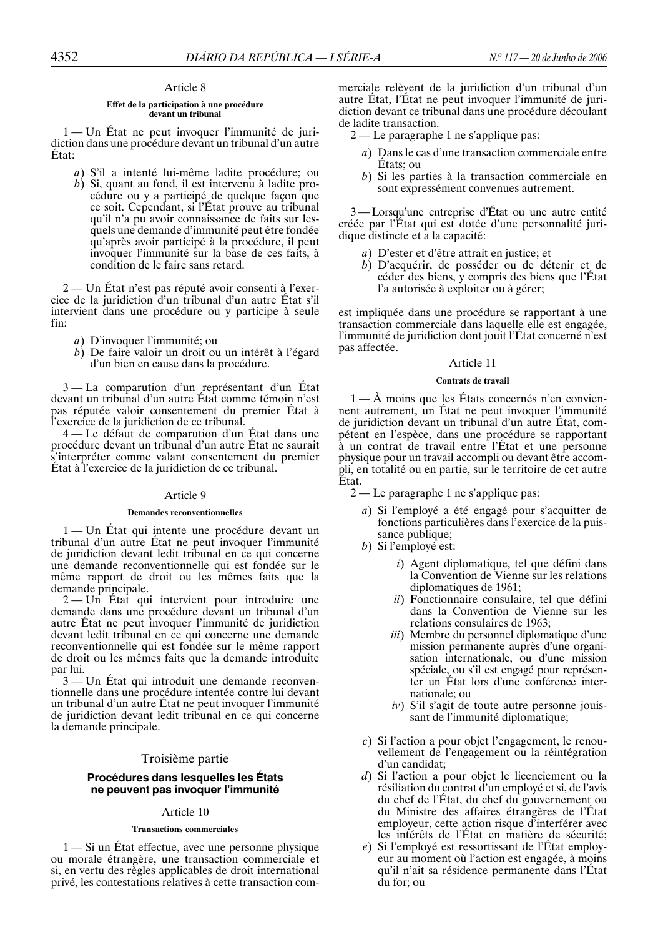#### **Effet de la participation à une procédure devant un tribunal**

1 — Un État ne peut invoquer l'immunité de juridiction dans une procédure devant un tribunal d'un autre État:

*a*) S'il a intenté lui-même ladite procédure; ou *b*) Si, quant au fond, il est intervenu à ladite procédure ou y a participé de quelque façon que ce soit. Cependant, si l'État prouve au tribunal qu'il n'a pu avoir connaissance de faits sur lesquels une demande d'immunité peut être fondée qu'après avoir participé à la procédure, il peut invoquer l'immunité sur la base de ces faits, à condition de le faire sans retard.

2 — Un État n'est pas réputé avoir consenti à l'exercice de la juridiction d'un tribunal d'un autre État s'il intervient dans une procédure ou y participe à seule fin:

- *a*) D'invoquer l'immunité; ou
- *b*) De faire valoir un droit ou un intérêt à l'égard d'un bien en cause dans la procédure.

3 — La comparution d'un représentant d'un État devant un tribunal d'un autre État comme témoin n'est pas réputée valoir consentement du premier État à l'exercice de la juridiction de ce tribunal.

4 — Le défaut de comparution d'un État dans une procédure devant un tribunal d'un autre État ne saurait s'interpréter comme valant consentement du premier État à l'exercice de la juridiction de ce tribunal.

# Article 9

## **Demandes reconventionnelles**

1 — Un État qui intente une procédure devant un tribunal d'un autre État ne peut invoquer l'immunité de juridiction devant ledit tribunal en ce qui concerne une demande reconventionnelle qui est fondée sur le même rapport de droit ou les mêmes faits que la demande principale.

2 — Un État qui intervient pour introduire une demande dans une procédure devant un tribunal d'un autre État ne peut invoquer l'immunité de juridiction devant ledit tribunal en ce qui concerne une demande reconventionnelle qui est fondée sur le même rapport de droit ou les mêmes faits que la demande introduite par lui.

3 — Un État qui introduit une demande reconventionnelle dans une procédure intentée contre lui devant un tribunal d'un autre État ne peut invoquer l'immunité de juridiction devant ledit tribunal en ce qui concerne la demande principale.

# Troisième partie

# **Procédures dans lesquelles les États ne peuvent pas invoquer l'immunité**

# Article 10

## **Transactions commerciales**

1 — Si un État effectue, avec une personne physique ou morale étrangère, une transaction commerciale et si, en vertu des règles applicables de droit international privé, les contestations relatives à cette transaction commerciale relèvent de la juridiction d'un tribunal d'un autre État, l'État ne peut invoquer l'immunité de juridiction devant ce tribunal dans une procédure découlant de ladite transaction.

2 — Le paragraphe 1 ne s'applique pas:

- *a*) Dans le cas d'une transaction commerciale entre États; ou
- *b*) Si les parties à la transaction commerciale en sont expressément convenues autrement.

3 — Lorsqu'une entreprise d'État ou une autre entité créée par l'État qui est dotée d'une personnalité juridique distincte et a la capacité:

- *a*) D'ester et d'être attrait en justice; et
- *b*) D'acquérir, de posséder ou de détenir et de céder des biens, y compris des biens que l'État l'a autorisée à exploiter ou à gérer;

est impliquée dans une procédure se rapportant à une transaction commerciale dans laquelle elle est engagée, l'immunité de juridiction dont jouit l'État concerné n'est pas affectée.

# Article 11

## **Contrats de travail**

1 — À moins que les États concernés n'en conviennent autrement, un État ne peut invoquer l'immunité de juridiction devant un tribunal d'un autre État, compétent en l'espèce, dans une procédure se rapportant à un contrat de travail entre l'État et une personne physique pour un travail accompli ou devant être accompli, en totalité ou en partie, sur le territoire de cet autre État.

2 — Le paragraphe 1 ne s'applique pas:

- *a*) Si l'employé a été engagé pour s'acquitter de fonctions particulières dans l'exercice de la puissance publique;
- *b*) Si l'employé est:
	- *i*) Agent diplomatique, tel que défini dans la Convention de Vienne sur les relations diplomatiques de 1961;
	- *ii*) Fonctionnaire consulaire, tel que défini dans la Convention de Vienne sur les relations consulaires de 1963;
	- *iii*) Membre du personnel diplomatique d'une mission permanente auprès d'une organisation internationale, ou d'une mission spéciale, ou s'il est engagé pour représenter un État lors d'une conférence internationale; ou
	- *iv*) S'il s'agit de toute autre personne jouissant de l'immunité diplomatique;
- *c*) Si l'action a pour objet l'engagement, le renouvellement de l'engagement ou la réintégration d'un candidat;
- *d*) Si l'action a pour objet le licenciement ou la résiliation du contrat d'un employé et si, de l'avis du chef de l'État, du chef du gouvernement ou du Ministre des affaires étrangères de l'État employeur, cette action risque d'interférer avec les intérêts de l'État en matière de sécurité;
- *e*) Si l'employé est ressortissant de l'État employeur au moment où l'action est engagée, à moins qu'il n'ait sa résidence permanente dans l'État du for; ou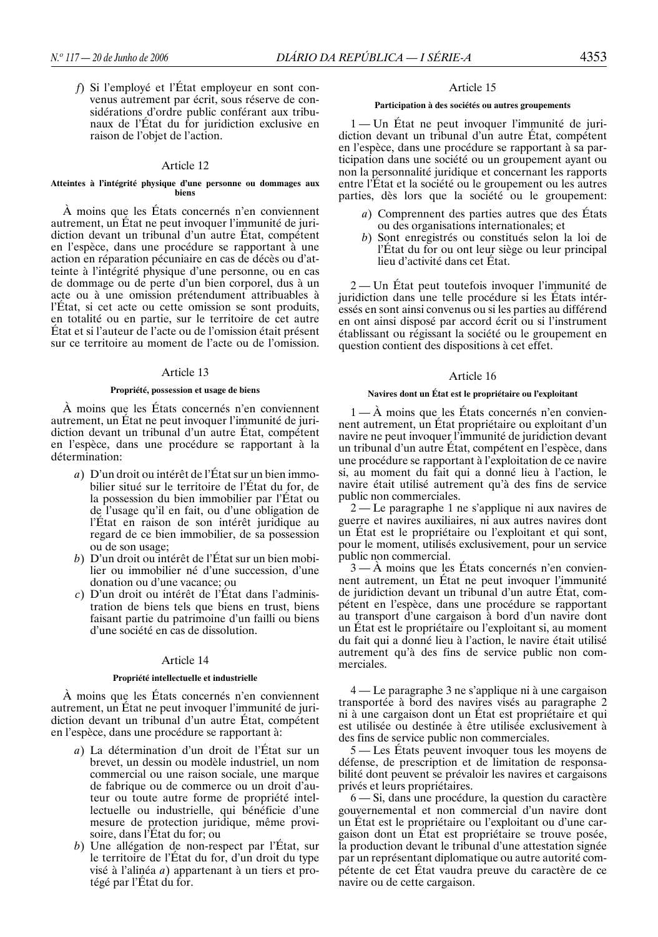*f*) Si l'employé et l'État employeur en sont convenus autrement par écrit, sous réserve de considérations d'ordre public conférant aux tribunaux de l'État du for juridiction exclusive en raison de l'objet de l'action.

## Article 12

#### **Atteintes à l'intégrité physique d'une personne ou dommages aux biens**

À moins que les États concernés n'en conviennent autrement, un État ne peut invoquer l'immunité de juridiction devant un tribunal d'un autre État, compétent en l'espèce, dans une procédure se rapportant à une action en réparation pécuniaire en cas de décès ou d'atteinte à l'intégrité physique d'une personne, ou en cas de dommage ou de perte d'un bien corporel, dus à un acte ou à une omission prétendument attribuables à l'État, si cet acte ou cette omission se sont produits, en totalité ou en partie, sur le territoire de cet autre État et si l'auteur de l'acte ou de l'omission était présent sur ce territoire au moment de l'acte ou de l'omission.

## Article 13

## **Propriété, possession et usage de biens**

À moins que les États concernés n'en conviennent autrement, un État ne peut invoquer l'immunité de juridiction devant un tribunal d'un autre État, compétent en l'espèce, dans une procédure se rapportant à la détermination:

- *a*) D'un droit ou intérêt de l'État sur un bien immobilier situé sur le territoire de l'État du for, de la possession du bien immobilier par l'État ou de l'usage qu'il en fait, ou d'une obligation de l'État en raison de son intérêt juridique au regard de ce bien immobilier, de sa possession ou de son usage;
- *b*) D'un droit ou intérêt de l'État sur un bien mobilier ou immobilier né d'une succession, d'une donation ou d'une vacance; ou
- *c*) D'un droit ou intérêt de l'État dans l'administration de biens tels que biens en trust, biens faisant partie du patrimoine d'un failli ou biens d'une société en cas de dissolution.

# Article 14

#### **Propriété intellectuelle et industrielle**

À moins que les États concernés n'en conviennent autrement, un État ne peut invoquer l'immunité de juridiction devant un tribunal d'un autre État, compétent en l'espèce, dans une procédure se rapportant à:

- *a*) La détermination d'un droit de l'État sur un brevet, un dessin ou modèle industriel, un nom commercial ou une raison sociale, une marque de fabrique ou de commerce ou un droit d'auteur ou toute autre forme de propriété intellectuelle ou industrielle, qui bénéficie d'une mesure de protection juridique, même provisoire, dans l'État du for; ou
- *b*) Une allégation de non-respect par l'État, sur le territoire de l'État du for, d'un droit du type visé à l'alinéa *a*) appartenant à un tiers et protégé par l'État du for.

## Article 15

#### **Participation à des sociétés ou autres groupements**

1 — Un État ne peut invoquer l'immunité de juridiction devant un tribunal d'un autre État, compétent en l'espèce, dans une procédure se rapportant à sa participation dans une société ou un groupement ayant ou non la personnalité juridique et concernant les rapports entre l'État et la société ou le groupement ou les autres parties, dès lors que la société ou le groupement:

- *a*) Comprennent des parties autres que des États ou des organisations internationales; et
- *b*) Sont enregistrés ou constitués selon la loi de l'État du for ou ont leur siège ou leur principal lieu d'activité dans cet État.

2 — Un État peut toutefois invoquer l'immunité de juridiction dans une telle procédure si les États intéressés en sont ainsi convenus ou si les parties au différend en ont ainsi disposé par accord écrit ou si l'instrument établissant ou régissant la société ou le groupement en question contient des dispositions à cet effet.

## Article 16

# **Navires dont un État est le propriétaire ou l'exploitant**

1 — A moins que les États concernés n'en conviennent autrement, un État propriétaire ou exploitant d'un navire ne peut invoquer l'immunité de juridiction devant un tribunal d'un autre État, compétent en l'espèce, dans une procédure se rapportant à l'exploitation de ce navire si, au moment du fait qui a donné lieu à l'action, le navire était utilisé autrement qu'à des fins de service public non commerciales.

2 — Le paragraphe 1 ne s'applique ni aux navires de guerre et navires auxiliaires, ni aux autres navires dont un État est le propriétaire ou l'exploitant et qui sont, pour le moment, utilisés exclusivement, pour un service public non commercial.

3 — À moins que les États concernés n'en conviennent autrement, un État ne peut invoquer l'immunité de juridiction devant un tribunal d'un autre État, compétent en l'espèce, dans une procédure se rapportant au transport d'une cargaison à bord d'un navire dont un État est le propriétaire ou l'exploitant si, au moment du fait qui a donné lieu à l'action, le navire était utilisé autrement qu'à des fins de service public non commerciales.

4 — Le paragraphe 3 ne s'applique ni à une cargaison transportée à bord des navires visés au paragraphe 2 ni à une cargaison dont un État est propriétaire et qui est utilisée ou destinée à être utilisée exclusivement à des fins de service public non commerciales.

5 — Les États peuvent invoquer tous les moyens de défense, de prescription et de limitation de responsabilité dont peuvent se prévaloir les navires et cargaisons privés et leurs propriétaires.

6 — Si, dans une procédure, la question du caractère gouvernemental et non commercial d'un navire dont un État est le propriétaire ou l'exploitant ou d'une cargaison dont un État est propriétaire se trouve posée, la production devant le tribunal d'une attestation signée par un représentant diplomatique ou autre autorité compétente de cet État vaudra preuve du caractère de ce navire ou de cette cargaison.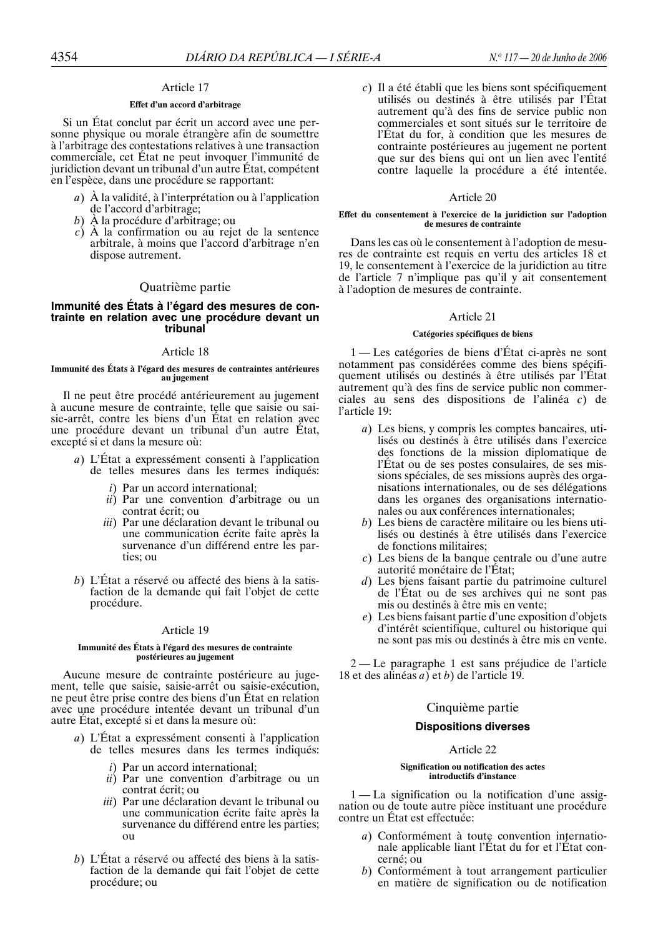# **Effet d'un accord d'arbitrage**

Si un État conclut par écrit un accord avec une personne physique ou morale étrangère afin de soumettre à l'arbitrage des contestations relatives à une transaction commerciale, cet État ne peut invoquer l'immunité de juridiction devant un tribunal d'un autre État, compétent en l'espèce, dans une procédure se rapportant:

- *a*) À la validité, à l'interprétation ou à l'application de l'accord d'arbitrage;
- *b*) À la procédure d'arbitrage; ou
- *c*) À la confirmation ou au rejet de la sentence arbitrale, à moins que l'accord d'arbitrage n'en dispose autrement.

# Quatrième partie

## **Immunité des États à l'égard des mesures de contrainte en relation avec une procédure devant un tribunal**

#### Article 18

#### **Immunité des États à l'égard des mesures de contraintes antérieures au jugement**

Il ne peut être procédé antérieurement au jugement à aucune mesure de contrainte, telle que saisie ou saisie-arrêt, contre les biens d'un État en relation avec une procédure devant un tribunal d'un autre État, excepté si et dans la mesure où:

- *a*) L'État a expressément consenti à l'application de telles mesures dans les termes indiqués:
	- *i*) Par un accord international;
	- *ii*) Par une convention d'arbitrage ou un contrat écrit; ou
	- *iii*) Par une déclaration devant le tribunal ou une communication écrite faite après la survenance d'un différend entre les parties; ou
- *b*) L'État a réservé ou affecté des biens à la satisfaction de la demande qui fait l'objet de cette procédure.

## Article 19

#### **Immunité des États à l'égard des mesures de contrainte postérieures au jugement**

Aucune mesure de contrainte postérieure au jugement, telle que saisie, saisie-arrêt ou saisie-exécution, ne peut être prise contre des biens d'un État en relation avec une procédure intentée devant un tribunal d'un autre État, excepté si et dans la mesure où:

- *a*) L'État a expressément consenti à l'application de telles mesures dans les termes indiqués:
	- *i*) Par un accord international;
	- *ii*) Par une convention d'arbitrage ou un contrat écrit; ou
	- *iii*) Par une déclaration devant le tribunal ou une communication écrite faite après la survenance du différend entre les parties; ou
- *b*) L'État a réservé ou affecté des biens à la satisfaction de la demande qui fait l'objet de cette procédure; ou

*c*) Il a été établi que les biens sont spécifiquement utilisés ou destinés à être utilisés par l'État autrement qu'à des fins de service public non commerciales et sont situés sur le territoire de l'État du for, à condition que les mesures de contrainte postérieures au jugement ne portent que sur des biens qui ont un lien avec l'entité contre laquelle la procédure a été intentée.

# Article 20

#### **Effet du consentement à l'exercice de la juridiction sur l'adoption de mesures de contrainte**

Dans les cas où le consentement à l'adoption de mesures de contrainte est requis en vertu des articles 18 et 19, le consentement à l'exercice de la juridiction au titre de l'article 7 n'implique pas qu'il y ait consentement à l'adoption de mesures de contrainte.

### Article 21

## **Catégories spécifiques de biens**

1 — Les catégories de biens d'État ci-après ne sont notamment pas considérées comme des biens spécifiquement utilisés ou destinés à être utilisés par l'État autrement qu'à des fins de service public non commerciales au sens des dispositions de l'alinéa *c*) de l'article 19:

- *a*) Les biens, y compris les comptes bancaires, utilisés ou destinés à être utilisés dans l'exercice des fonctions de la mission diplomatique de l'État ou de ses postes consulaires, de ses missions spéciales, de ses missions auprès des organisations internationales, ou de ses délégations dans les organes des organisations internationales ou aux conférences internationales;
- *b*) Les biens de caractère militaire ou les biens utilisés ou destinés à être utilisés dans l'exercice de fonctions militaires;
- *c*) Les biens de la banque centrale ou d'une autre autorité monétaire de l'État;
- *d*) Les biens faisant partie du patrimoine culturel de l'État ou de ses archives qui ne sont pas mis ou destinés à être mis en vente;
- *e*) Les biens faisant partie d'une exposition d'objets d'intérêt scientifique, culturel ou historique qui ne sont pas mis ou destinés à être mis en vente.

2 — Le paragraphe 1 est sans préjudice de l'article 18 et des alinéas *a*) et *b*) de l'article 19.

# Cinquième partie

## **Dispositions diverses**

#### Article 22

#### **Signification ou notification des actes introductifs d'instance**

1 — La signification ou la notification d'une assignation ou de toute autre pièce instituant une procédure contre un État est effectuée:

- *a*) Conformément à toute convention internationale applicable liant l'État du for et l'État concerné; ou
- *b*) Conformément à tout arrangement particulier en matière de signification ou de notification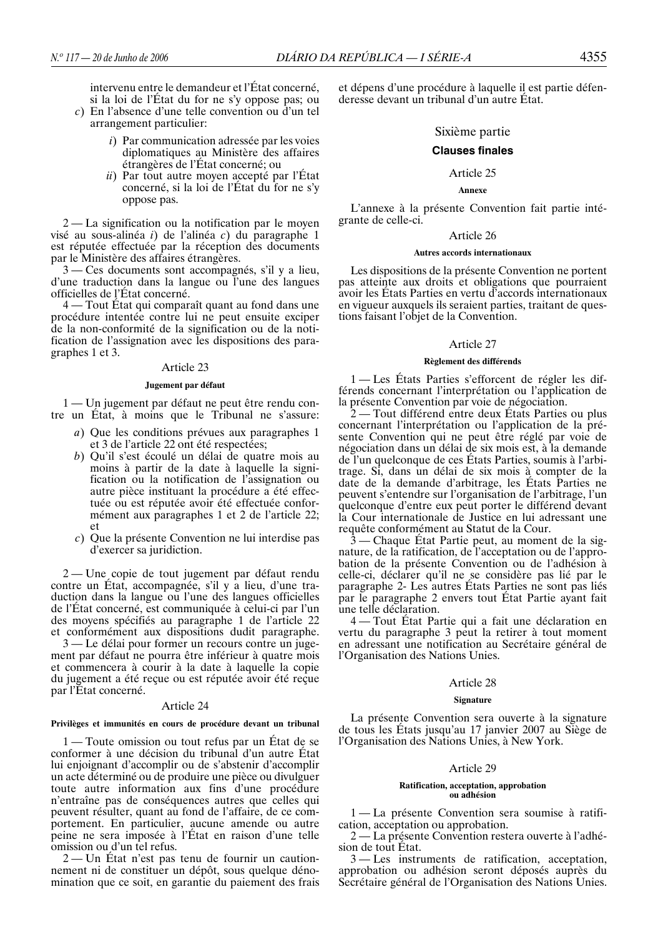intervenu entre le demandeur et l'État concerné, si la loi de l'État du for ne s'y oppose pas; ou

- *c*) En l'absence d'une telle convention ou d'un tel arrangement particulier:
	- *i*) Par communication adressée par les voies diplomatiques au Ministère des affaires étrangères de l'État concerné; ou
	- *ii*) Par tout autre moyen accepté par l'État concerné, si la loi de l'État du for ne s'y oppose pas.

2 — La signification ou la notification par le moyen visé au sous-alinéa *i*) de l'alinéa *c*) du paragraphe 1 est réputée effectuée par la réception des documents par le Ministère des affaires étrangères.

3 — Ces documents sont accompagnés, s'il y a lieu, d'une traduction dans la langue ou l'une des langues officielles de l'État concerné.

4 — Tout État qui comparaît quant au fond dans une procédure intentée contre lui ne peut ensuite exciper de la non-conformité de la signification ou de la notification de l'assignation avec les dispositions des paragraphes 1 et 3.

#### Article 23

## **Jugement par défaut**

1 — Un jugement par défaut ne peut être rendu contre un État, à moins que le Tribunal ne s'assure:

- *a*) Que les conditions prévues aux paragraphes 1 et 3 de l'article 22 ont été respectées;
- *b*) Qu'il s'est écoulé un délai de quatre mois au moins à partir de la date à laquelle la signification ou la notification de l'assignation ou autre pièce instituant la procédure a été effectuée ou est réputée avoir été effectuée conformément aux paragraphes 1 et 2 de l'article 22; et
- *c*) Que la présente Convention ne lui interdise pas d'exercer sa juridiction.

2 — Une copie de tout jugement par défaut rendu contre un État, accompagnée, s'il y a lieu, d'une traduction dans la langue ou l'une des langues officielles de l'État concerné, est communiquée à celui-ci par l'un des moyens spécifiés au paragraphe 1 de l'article 22 et conformément aux dispositions dudit paragraphe.

3 — Le délai pour former un recours contre un jugement par défaut ne pourra être inférieur à quatre mois et commencera à courir à la date à laquelle la copie du jugement a été reçue ou est réputée avoir été reçue par l'État concerné.

## Article 24

# **Privilèges et immunités en cours de procédure devant un tribunal**

1 — Toute omission ou tout refus par un État de se conformer à une décision du tribunal d'un autre État lui enjoignant d'accomplir ou de s'abstenir d'accomplir un acte déterminé ou de produire une pièce ou divulguer toute autre information aux fins d'une procédure n'entraîne pas de conséquences autres que celles qui peuvent résulter, quant au fond de l'affaire, de ce comportement. En particulier, aucune amende ou autre peine ne sera imposée à l'État en raison d'une telle omission ou d'un tel refus.

2 — Un État n'est pas tenu de fournir un cautionnement ni de constituer un dépôt, sous quelque dénomination que ce soit, en garantie du paiement des frais et dépens d'une procédure à laquelle il est partie défenderesse devant un tribunal d'un autre État.

# Sixième partie

## **Clauses finales**

## Article 25

## **Annexe**

L'annexe à la présente Convention fait partie intégrante de celle-ci.

## Article 26

## **Autres accords internationaux**

Les dispositions de la présente Convention ne portent pas atteinte aux droits et obligations que pourraient avoir les États Parties en vertu d'accords internationaux en vigueur auxquels ils seraient parties, traitant de questions faisant l'objet de la Convention.

## Article 27

## **Règlement des différends**

1 — Les États Parties s'efforcent de régler les différends concernant l'interprétation ou l'application de la présente Convention par voie de négociation.

2 — Tout différend entre deux États Parties ou plus concernant l'interprétation ou l'application de la présente Convention qui ne peut être réglé par voie de négociation dans un délai de six mois est, à la demande de l'un quelconque de ces États Parties, soumis à l'arbitrage. Si, dans un délai de six mois à compter de la date de la demande d'arbitrage, les États Parties ne peuvent s'entendre sur l'organisation de l'arbitrage, l'un quelconque d'entre eux peut porter le différend devant la Cour internationale de Justice en lui adressant une requête conformément au Statut de la Cour.

3 — Chaque État Partie peut, au moment de la signature, de la ratification, de l'acceptation ou de l'approbation de la présente Convention ou de l'adhésion à celle-ci, déclarer qu'il ne se considère pas lié par le paragraphe 2- Les autres États Parties ne sont pas liés par le paragraphe 2 envers tout État Partie ayant fait une telle déclaration.

4 — Tout État Partie qui a fait une déclaration en vertu du paragraphe 3 peut la retirer à tout moment en adressant une notification au Secrétaire général de l'Organisation des Nations Unies.

## Article 28

## **Signature**

La présente Convention sera ouverte à la signature de tous les États jusqu'au 17 janvier 2007 au Siège de l'Organisation des Nations Unies, à New York.

## Article 29

#### **Ratification, acceptation, approbation ou adhésion**

1 — La présente Convention sera soumise à ratification, acceptation ou approbation.

2 — La présente Convention restera ouverte à l'adhésion de tout État.

3 — Les instruments de ratification, acceptation, approbation ou adhésion seront déposés auprès du Secrétaire général de l'Organisation des Nations Unies.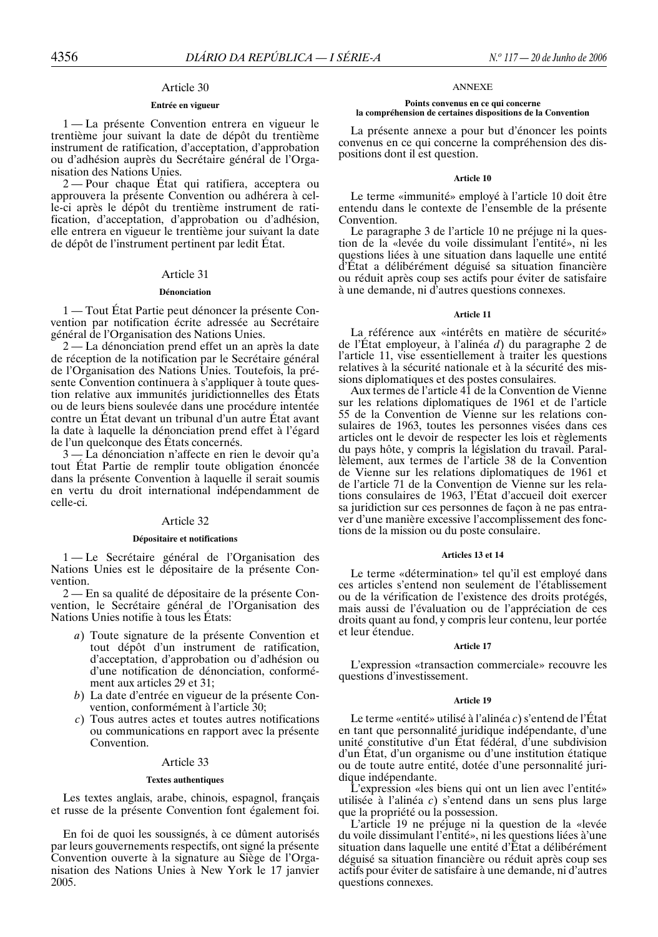#### **Entrée en vigueur**

1 — La présente Convention entrera en vigueur le trentième jour suivant la date de dépôt du trentième instrument de ratification, d'acceptation, d'approbation ou d'adhésion auprès du Secrétaire général de l'Organisation des Nations Unies.

2 — Pour chaque État qui ratifiera, acceptera ou approuvera la présente Convention ou adhérera à celle-ci après le dépôt du trentième instrument de ratification, d'acceptation, d'approbation ou d'adhésion, elle entrera en vigueur le trentième jour suivant la date de dépôt de l'instrument pertinent par ledit État.

## Article 31

#### **Dénonciation**

1 — Tout État Partie peut dénoncer la présente Convention par notification écrite adressée au Secrétaire général de l'Organisation des Nations Unies.

2 — La dénonciation prend effet un an après la date de réception de la notification par le Secrétaire général de l'Organisation des Nations Unies. Toutefois, la présente Convention continuera à s'appliquer à toute question relative aux immunités juridictionnelles des États ou de leurs biens soulevée dans une procédure intentée contre un État devant un tribunal d'un autre État avant la date à laquelle la dénonciation prend effet à l'égard de l'un quelconque des États concernés.

3 — La dénonciation n'affecte en rien le devoir qu'a tout État Partie de remplir toute obligation énoncée dans la présente Convention à laquelle il serait soumis en vertu du droit international indépendamment de celle-ci.

#### Article 32

#### **Dépositaire et notifications**

1 — Le Secrétaire général de l'Organisation des Nations Unies est le dépositaire de la présente Convention.

2 — En sa qualité de dépositaire de la présente Convention, le Secrétaire général de l'Organisation des Nations Unies notifie à tous les États:

- *a*) Toute signature de la présente Convention et tout dépôt d'un instrument de ratification, d'acceptation, d'approbation ou d'adhésion ou d'une notification de dénonciation, conformément aux articles 29 et 31;
- *b*) La date d'entrée en vigueur de la présente Convention, conformément à l'article 30;
- *c*) Tous autres actes et toutes autres notifications ou communications en rapport avec la présente Convention.

#### Article 33

#### **Textes authentiques**

Les textes anglais, arabe, chinois, espagnol, français et russe de la présente Convention font également foi.

En foi de quoi les soussignés, à ce dûment autorisés par leurs gouvernements respectifs, ont signé la présente Convention ouverte à la signature au Siège de l'Organisation des Nations Unies à New York le 17 janvier 2005.

#### ANNEXE

#### **Points convenus en ce qui concerne la compréhension de certaines dispositions de la Convention**

La présente annexe a pour but d'énoncer les points convenus en ce qui concerne la compréhension des dispositions dont il est question.

#### **Article 10**

Le terme «immunité» employé à l'article 10 doit être entendu dans le contexte de l'ensemble de la présente Convention.

Le paragraphe 3 de l'article 10 ne préjuge ni la question de la «levée du voile dissimulant l'entité», ni les questions liées à une situation dans laquelle une entité d'État a délibérément déguisé sa situation financière ou réduit après coup ses actifs pour éviter de satisfaire à une demande, ni d'autres questions connexes.

#### **Article 11**

La référence aux «intérêts en matière de sécurité» de l'État employeur, à l'alinéa *d*) du paragraphe 2 de l'article 11, vise essentiellement à traiter les questions relatives à la sécurité nationale et à la sécurité des missions diplomatiques et des postes consulaires.

Aux termes de l'article 41 de la Convention de Vienne sur les relations diplomatiques de 1961 et de l'article 55 de la Convention de Vienne sur les relations consulaires de 1963, toutes les personnes visées dans ces articles ont le devoir de respecter les lois et règlements du pays hôte, y compris la législation du travail. Parallèlement, aux termes de l'article 38 de la Convention de Vienne sur les relations diplomatiques de 1961 et de l'article 71 de la Convention de Vienne sur les relations consulaires de 1963, l'État d'accueil doit exercer sa juridiction sur ces personnes de façon à ne pas entraver d'une manière excessive l'accomplissement des fonctions de la mission ou du poste consulaire.

#### **Articles 13 et 14**

Le terme «détermination» tel qu'il est employé dans ces articles s'entend non seulement de l'établissement ou de la vérification de l'existence des droits protégés, mais aussi de l'évaluation ou de l'appréciation de ces droits quant au fond, y compris leur contenu, leur portée et leur étendue.

## **Article 17**

L'expression «transaction commerciale» recouvre les questions d'investissement.

## **Article 19**

Le terme «entité» utilisé à l'alinéa *c*) s'entend de l'État en tant que personnalité juridique indépendante, d'une unité constitutive d'un État fédéral, d'une subdivision d'un État, d'un organisme ou d'une institution étatique ou de toute autre entité, dotée d'une personnalité juridique indépendante.

L'expression «les biens qui ont un lien avec l'entité» utilisée à l'alinéa *c*) s'entend dans un sens plus large que la propriété ou la possession.

L'article 19 ne préjuge ni la question de la «levée du voile dissimulant l'entité», ni les questions liées à'une situation dans laquelle une entité d'État a délibérément déguisé sa situation financière ou réduit après coup ses actifs pour éviter de satisfaire à une demande, ni d'autres questions connexes.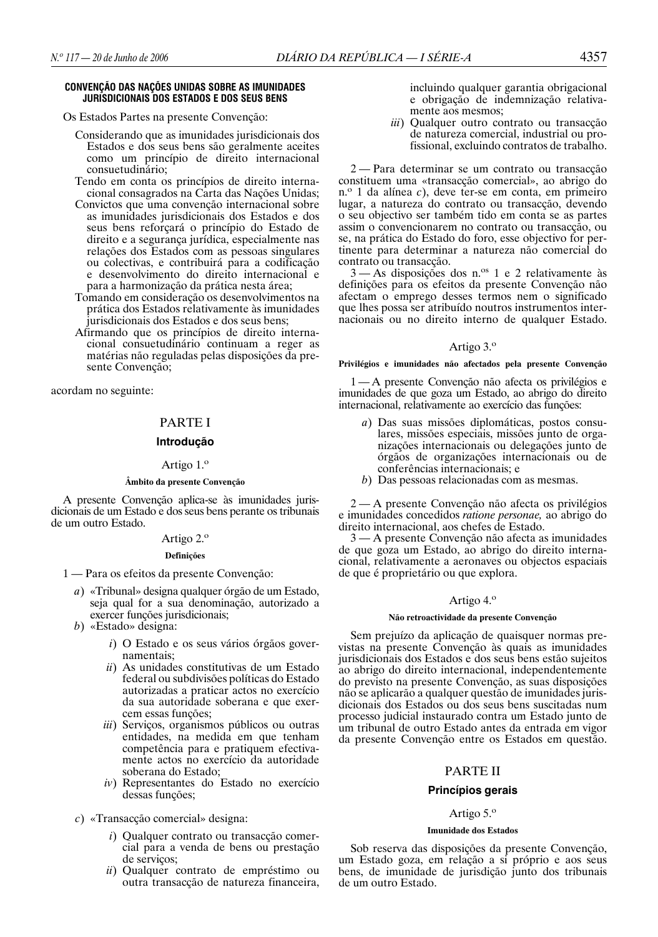## **CONVENÇÃO DAS NAÇÕES UNIDAS SOBRE AS IMUNIDADES JURISDICIONAIS DOS ESTADOS E DOS SEUS BENS**

Os Estados Partes na presente Convenção:

- Considerando que as imunidades jurisdicionais dos Estados e dos seus bens são geralmente aceites como um princípio de direito internacional consuetudinário;
- Tendo em conta os princípios de direito internacional consagrados na Carta das Nações Unidas;
- Convictos que uma convenção internacional sobre as imunidades jurisdicionais dos Estados e dos seus bens reforçará o princípio do Estado de direito e a segurança jurídica, especialmente nas relações dos Estados com as pessoas singulares ou colectivas, e contribuirá para a codificação e desenvolvimento do direito internacional e para a harmonização da prática nesta área;
- Tomando em consideração os desenvolvimentos na prática dos Estados relativamente às imunidades jurisdicionais dos Estados e dos seus bens;
- Afirmando que os princípios de direito internacional consuetudinário continuam a reger as matérias não reguladas pelas disposições da presente Convenção;

acordam no seguinte:

## PARTE I

#### **Introdução**

## Artigo  $1^\circ$

## **Âmbito da presente Convenção**

A presente Convenção aplica-se às imunidades jurisdicionais de um Estado e dos seus bens perante os tribunais de um outro Estado.

## Artigo 2.<sup>o</sup>

#### **Definições**

- 1 Para os efeitos da presente Convenção:
	- *a*) «Tribunal» designa qualquer órgão de um Estado, seja qual for a sua denominação, autorizado a exercer funções jurisdicionais;
	- *b*) «Estado» designa:
		- *i*) O Estado e os seus vários órgãos governamentais;
		- *ii*) As unidades constitutivas de um Estado federal ou subdivisões políticas do Estado autorizadas a praticar actos no exercício da sua autoridade soberana e que exercem essas funções;
		- *iii*) Serviços, organismos públicos ou outras entidades, na medida em que tenham competência para e pratiquem efectivamente actos no exercício da autoridade soberana do Estado;
		- *iv*) Representantes do Estado no exercício dessas funções;
	- *c*) «Transacção comercial» designa:
		- *i*) Qualquer contrato ou transacção comercial para a venda de bens ou prestação de serviços;
		- *ii*) Qualquer contrato de empréstimo ou outra transacção de natureza financeira,

incluindo qualquer garantia obrigacional e obrigação de indemnização relativamente aos mesmos;

*iii*) Qualquer outro contrato ou transacção de natureza comercial, industrial ou profissional, excluindo contratos de trabalho.

2 — Para determinar se um contrato ou transacção constituem uma «transacção comercial», ao abrigo do n.<sup>o</sup> 1 da alínea *c*), deve ter-se em conta, em primeiro lugar, a natureza do contrato ou transacção, devendo o seu objectivo ser também tido em conta se as partes assim o convencionarem no contrato ou transacção, ou se, na prática do Estado do foro, esse objectivo for pertinente para determinar a natureza não comercial do contrato ou transacção.

 $3$  — As disposições dos n.<sup>os</sup> 1 e 2 relativamente às definições para os efeitos da presente Convenção não afectam o emprego desses termos nem o significado que lhes possa ser atribuído noutros instrumentos internacionais ou no direito interno de qualquer Estado.

## Artigo 3.º

#### **Privilégios e imunidades não afectados pela presente Convenção**

1 — A presente Convenção não afecta os privilégios e imunidades de que goza um Estado, ao abrigo do direito internacional, relativamente ao exercício das funções:

- *a*) Das suas missões diplomáticas, postos consulares, missões especiais, missões junto de organizações internacionais ou delegações junto de órgãos de organizações internacionais ou de conferências internacionais; e
- *b*) Das pessoas relacionadas com as mesmas.

2 — A presente Convenção não afecta os privilégios e imunidades concedidos *ratione personae,* ao abrigo do direito internacional, aos chefes de Estado.

3 — A presente Convenção não afecta as imunidades de que goza um Estado, ao abrigo do direito internacional, relativamente a aeronaves ou objectos espaciais de que é proprietário ou que explora.

# Artigo 4.º

#### **Não retroactividade da presente Convenção**

Sem prejuízo da aplicação de quaisquer normas previstas na presente Convenção às quais as imunidades jurisdicionais dos Estados e dos seus bens estão sujeitos ao abrigo do direito internacional, independentemente do previsto na presente Convenção, as suas disposições não se aplicarão a qualquer questão de imunidades jurisdicionais dos Estados ou dos seus bens suscitadas num processo judicial instaurado contra um Estado junto de um tribunal de outro Estado antes da entrada em vigor da presente Convenção entre os Estados em questão.

## PARTE II

## **Princípios gerais**

# Artigo 5.º

#### **Imunidade dos Estados**

Sob reserva das disposições da presente Convenção, um Estado goza, em relação a si próprio e aos seus bens, de imunidade de jurisdição junto dos tribunais de um outro Estado.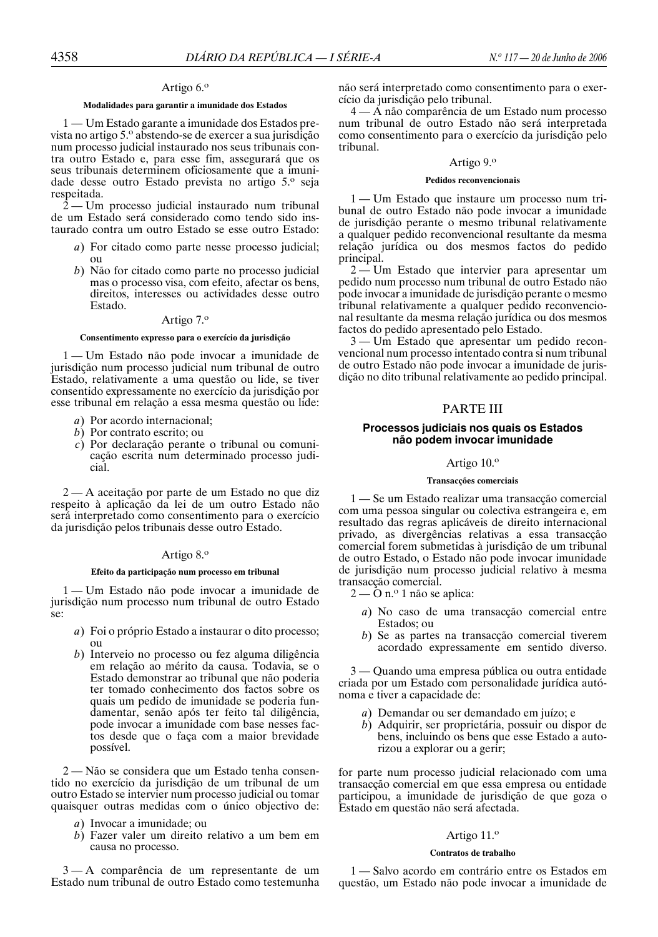# Artigo 6.º

#### **Modalidades para garantir a imunidade dos Estados**

1 — Um Estado garante a imunidade dos Estados prevista no artigo 5.º abstendo-se de exercer a sua jurisdição num processo judicial instaurado nos seus tribunais contra outro Estado e, para esse fim, assegurará que os seus tribunais determinem oficiosamente que a imunidade desse outro Estado prevista no artigo 5.º seja respeitada.

 $\hat{2}$  — Um processo judicial instaurado num tribunal de um Estado será considerado como tendo sido instaurado contra um outro Estado se esse outro Estado:

- *a*) For citado como parte nesse processo judicial; ou
- *b*) Não for citado como parte no processo judicial mas o processo visa, com efeito, afectar os bens, direitos, interesses ou actividades desse outro Estado.

# Artigo 7.º

#### **Consentimento expresso para o exercício da jurisdição**

1 — Um Estado não pode invocar a imunidade de jurisdição num processo judicial num tribunal de outro Estado, relativamente a uma questão ou lide, se tiver consentido expressamente no exercício da jurisdição por esse tribunal em relação a essa mesma questão ou lide:

- *a*) Por acordo internacional;
- *b*) Por contrato escrito; ou
- *c*) Por declaração perante o tribunal ou comunicação escrita num determinado processo judicial.

2 — A aceitação por parte de um Estado no que diz respeito à aplicação da lei de um outro Estado não será interpretado como consentimento para o exercício da jurisdição pelos tribunais desse outro Estado.

## Artigo  $8.^\circ$

#### **Efeito da participação num processo em tribunal**

1 — Um Estado não pode invocar a imunidade de jurisdição num processo num tribunal de outro Estado se:

- *a*) Foi o próprio Estado a instaurar o dito processo; ou
- *b*) Interveio no processo ou fez alguma diligência em relação ao mérito da causa. Todavia, se o Estado demonstrar ao tribunal que não poderia ter tomado conhecimento dos factos sobre os quais um pedido de imunidade se poderia fundamentar, senão após ter feito tal diligência, pode invocar a imunidade com base nesses factos desde que o faça com a maior brevidade possível.

2 — Não se considera que um Estado tenha consentido no exercício da jurisdição de um tribunal de um outro Estado se intervier num processo judicial ou tomar quaisquer outras medidas com o único objectivo de:

- *a*) Invocar a imunidade; ou
- *b*) Fazer valer um direito relativo a um bem em causa no processo.

3 — A comparência de um representante de um Estado num tribunal de outro Estado como testemunha não será interpretado como consentimento para o exercício da jurisdição pelo tribunal.

4 — A não comparência de um Estado num processo num tribunal de outro Estado não será interpretada como consentimento para o exercício da jurisdição pelo tribunal.

# Artigo 9.º

#### **Pedidos reconvencionais**

1 — Um Estado que instaure um processo num tribunal de outro Estado não pode invocar a imunidade de jurisdição perante o mesmo tribunal relativamente a qualquer pedido reconvencional resultante da mesma relação jurídica ou dos mesmos factos do pedido principal.

2 — Um Estado que intervier para apresentar um pedido num processo num tribunal de outro Estado não pode invocar a imunidade de jurisdição perante o mesmo tribunal relativamente a qualquer pedido reconvencional resultante da mesma relação jurídica ou dos mesmos factos do pedido apresentado pelo Estado.

3 — Um Estado que apresentar um pedido reconvencional num processo intentado contra si num tribunal de outro Estado não pode invocar a imunidade de jurisdição no dito tribunal relativamente ao pedido principal.

# PARTE III

# **Processos judiciais nos quais os Estados não podem invocar imunidade**

## Artigo  $10.0$

#### **Transacções comerciais**

1 — Se um Estado realizar uma transacção comercial com uma pessoa singular ou colectiva estrangeira e, em resultado das regras aplicáveis de direito internacional privado, as divergências relativas a essa transacção comercial forem submetidas à jurisdição de um tribunal de outro Estado, o Estado não pode invocar imunidade de jurisdição num processo judicial relativo à mesma transacção comercial.

- $2 O n$ .<sup>o</sup> 1 não se aplica:
	- *a*) No caso de uma transacção comercial entre Estados; ou
	- *b*) Se as partes na transacção comercial tiverem acordado expressamente em sentido diverso.

3 — Quando uma empresa pública ou outra entidade criada por um Estado com personalidade jurídica autónoma e tiver a capacidade de:

- *a*) Demandar ou ser demandado em juízo; e
- *b*) Adquirir, ser proprietária, possuir ou dispor de bens, incluindo os bens que esse Estado a autorizou a explorar ou a gerir;

for parte num processo judicial relacionado com uma transacção comercial em que essa empresa ou entidade participou, a imunidade de jurisdição de que goza o Estado em questão não será afectada.

## Artigo 11.º

## **Contratos de trabalho**

1 — Salvo acordo em contrário entre os Estados em questão, um Estado não pode invocar a imunidade de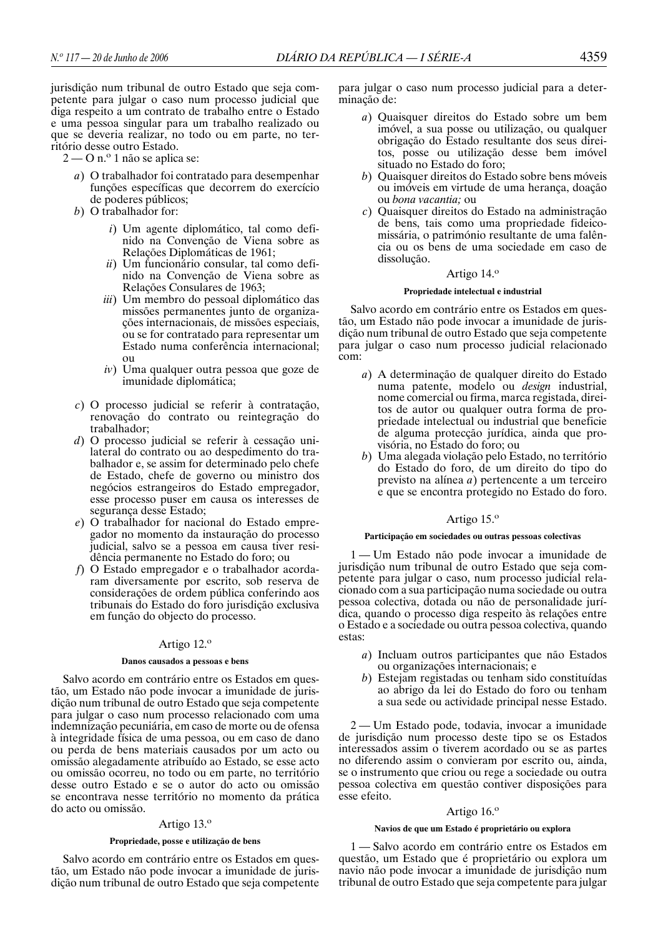jurisdição num tribunal de outro Estado que seja competente para julgar o caso num processo judicial que diga respeito a um contrato de trabalho entre o Estado e uma pessoa singular para um trabalho realizado ou que se deveria realizar, no todo ou em parte, no território desse outro Estado.

 $2 - O$  n.<sup>o</sup> 1 não se aplica se:

- *a*) O trabalhador foi contratado para desempenhar funções específicas que decorrem do exercício de poderes públicos;
- *b*) O trabalhador for:
	- *i*) Um agente diplomático, tal como definido na Convenção de Viena sobre as Relações Diplomáticas de 1961;
	- *ii*) Um funcionário consular, tal como definido na Convenção de Viena sobre as Relações Consulares de 1963;
	- *iii*) Um membro do pessoal diplomático das missões permanentes junto de organizações internacionais, de missões especiais, ou se for contratado para representar um Estado numa conferência internacional; ou
	- *iv*) Uma qualquer outra pessoa que goze de imunidade diplomática;
- *c*) O processo judicial se referir à contratação, renovação do contrato ou reintegração do trabalhador;
- *d*) O processo judicial se referir à cessação unilateral do contrato ou ao despedimento do trabalhador e, se assim for determinado pelo chefe de Estado, chefe de governo ou ministro dos negócios estrangeiros do Estado empregador, esse processo puser em causa os interesses de segurança desse Estado;
- *e*) O trabalhador for nacional do Estado empregador no momento da instauração do processo judicial, salvo se a pessoa em causa tiver residência permanente no Estado do foro; ou
- *f*) O Estado empregador e o trabalhador acordaram diversamente por escrito, sob reserva de considerações de ordem pública conferindo aos tribunais do Estado do foro jurisdição exclusiva em função do objecto do processo.

## Artigo  $12.°$

#### **Danos causados a pessoas e bens**

Salvo acordo em contrário entre os Estados em questão, um Estado não pode invocar a imunidade de jurisdição num tribunal de outro Estado que seja competente para julgar o caso num processo relacionado com uma indemnização pecuniária, em caso de morte ou de ofensa à integridade física de uma pessoa, ou em caso de dano ou perda de bens materiais causados por um acto ou omissão alegadamente atribuído ao Estado, se esse acto ou omissão ocorreu, no todo ou em parte, no território desse outro Estado e se o autor do acto ou omissão se encontrava nesse território no momento da prática do acto ou omissão.

## Artigo  $13.^{\rm o}$

#### **Propriedade, posse e utilização de bens**

Salvo acordo em contrário entre os Estados em questão, um Estado não pode invocar a imunidade de jurisdição num tribunal de outro Estado que seja competente para julgar o caso num processo judicial para a determinação de:

- *a*) Quaisquer direitos do Estado sobre um bem imóvel, a sua posse ou utilização, ou qualquer obrigação do Estado resultante dos seus direitos, posse ou utilização desse bem imóvel situado no Estado do foro;
- *b*) Quaisquer direitos do Estado sobre bens móveis ou imóveis em virtude de uma herança, doação ou *bona vacantia;* ou
- *c*) Quaisquer direitos do Estado na administração de bens, tais como uma propriedade fideicomissária, o património resultante de uma falência ou os bens de uma sociedade em caso de dissolução.

# Artigo 14.º

#### **Propriedade intelectual e industrial**

Salvo acordo em contrário entre os Estados em questão, um Estado não pode invocar a imunidade de jurisdição num tribunal de outro Estado que seja competente para julgar o caso num processo judicial relacionado com:

- *a*) A determinação de qualquer direito do Estado numa patente, modelo ou *design* industrial, nome comercial ou firma, marca registada, direitos de autor ou qualquer outra forma de propriedade intelectual ou industrial que beneficie de alguma protecção jurídica, ainda que provisória, no Estado do foro; ou
- *b*) Uma alegada violação pelo Estado, no território do Estado do foro, de um direito do tipo do previsto na alínea *a*) pertencente a um terceiro e que se encontra protegido no Estado do foro.

# Artigo 15.º

#### **Participação em sociedades ou outras pessoas colectivas**

1 — Um Estado não pode invocar a imunidade de jurisdição num tribunal de outro Estado que seja competente para julgar o caso, num processo judicial relacionado com a sua participação numa sociedade ou outra pessoa colectiva, dotada ou não de personalidade jurídica, quando o processo diga respeito às relações entre o Estado e a sociedade ou outra pessoa colectiva, quando estas:

- *a*) Incluam outros participantes que não Estados ou organizações internacionais; e
- *b*) Estejam registadas ou tenham sido constituídas ao abrigo da lei do Estado do foro ou tenham a sua sede ou actividade principal nesse Estado.

2 — Um Estado pode, todavia, invocar a imunidade de jurisdição num processo deste tipo se os Estados interessados assim o tiverem acordado ou se as partes no diferendo assim o convieram por escrito ou, ainda, se o instrumento que criou ou rege a sociedade ou outra pessoa colectiva em questão contiver disposições para esse efeito.

## Artigo  $16.$ <sup>o</sup>

## **Navios de que um Estado é proprietário ou explora**

1 — Salvo acordo em contrário entre os Estados em questão, um Estado que é proprietário ou explora um navio não pode invocar a imunidade de jurisdição num tribunal de outro Estado que seja competente para julgar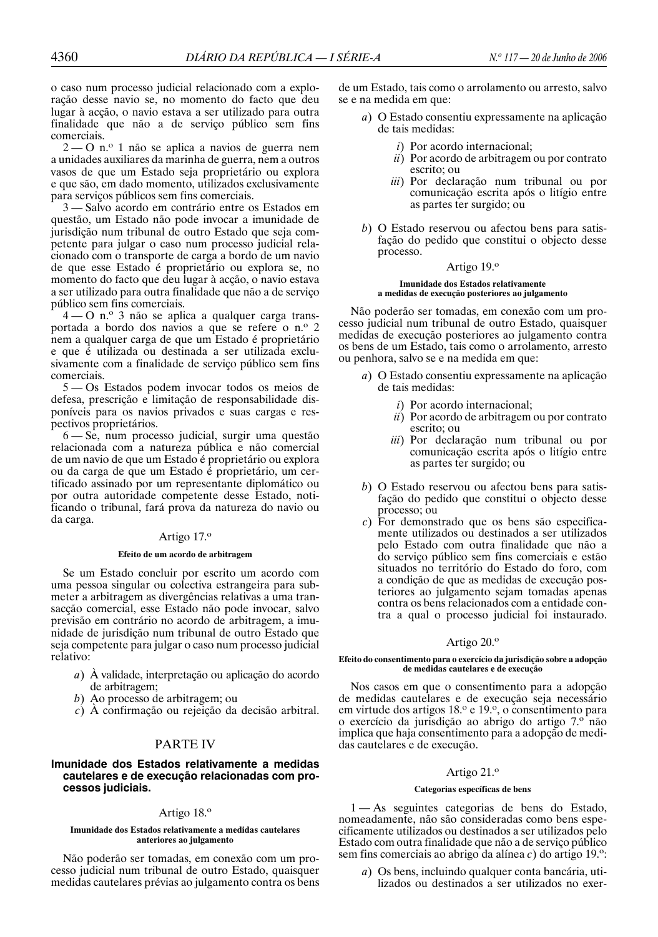o caso num processo judicial relacionado com a exploração desse navio se, no momento do facto que deu lugar à acção, o navio estava a ser utilizado para outra finalidade que não a de serviço público sem fins comerciais.

 $2 - O$  n.º 1 não se aplica a navios de guerra nem a unidades auxiliares da marinha de guerra, nem a outros vasos de que um Estado seja proprietário ou explora e que são, em dado momento, utilizados exclusivamente para serviços públicos sem fins comerciais.

3 — Salvo acordo em contrário entre os Estados em questão, um Estado não pode invocar a imunidade de jurisdição num tribunal de outro Estado que seja competente para julgar o caso num processo judicial relacionado com o transporte de carga a bordo de um navio de que esse Estado é proprietário ou explora se, no momento do facto que deu lugar à acção, o navio estava a ser utilizado para outra finalidade que não a de serviço público sem fins comerciais.

4 — O n.º 3 não se aplica a qualquer carga transportada a bordo dos navios a que se refere o n. $\degree$  2 nem a qualquer carga de que um Estado é proprietário e que é utilizada ou destinada a ser utilizada exclusivamente com a finalidade de serviço público sem fins comerciais.

5 — Os Estados podem invocar todos os meios de defesa, prescrição e limitação de responsabilidade disponíveis para os navios privados e suas cargas e respectivos proprietários.

6 — Se, num processo judicial, surgir uma questão relacionada com a natureza pública e não comercial de um navio de que um Estado é proprietário ou explora ou da carga de que um Estado é proprietário, um certificado assinado por um representante diplomático ou por outra autoridade competente desse Estado, notificando o tribunal, fará prova da natureza do navio ou da carga.

## Artigo  $17.$ <sup>o</sup>

## **Efeito de um acordo de arbitragem**

Se um Estado concluir por escrito um acordo com uma pessoa singular ou colectiva estrangeira para submeter a arbitragem as divergências relativas a uma transacção comercial, esse Estado não pode invocar, salvo previsão em contrário no acordo de arbitragem, a imunidade de jurisdição num tribunal de outro Estado que seja competente para julgar o caso num processo judicial relativo:

- *a*) À validade, interpretação ou aplicação do acordo de arbitragem;
- *b*) Ao processo de arbitragem; ou
- *c*) À confirmação ou rejeição da decisão arbitral.

# PARTE IV

# **Imunidade dos Estados relativamente a medidas cautelares e de execução relacionadas com processos judiciais.**

## Artigo 18.º

#### **Imunidade dos Estados relativamente a medidas cautelares anteriores ao julgamento**

Não poderão ser tomadas, em conexão com um processo judicial num tribunal de outro Estado, quaisquer medidas cautelares prévias ao julgamento contra os bens de um Estado, tais como o arrolamento ou arresto, salvo se e na medida em que:

- *a*) O Estado consentiu expressamente na aplicação de tais medidas:
	- *i*) Por acordo internacional;
	- *ii*) Por acordo de arbitragem ou por contrato escrito; ou
	- *iii*) Por declaração num tribunal ou por comunicação escrita após o litígio entre as partes ter surgido; ou
- *b*) O Estado reservou ou afectou bens para satisfação do pedido que constitui o objecto desse processo.

## Artigo  $19.°$

#### **Imunidade dos Estados relativamente a medidas de execução posteriores ao julgamento**

Não poderão ser tomadas, em conexão com um processo judicial num tribunal de outro Estado, quaisquer medidas de execução posteriores ao julgamento contra os bens de um Estado, tais como o arrolamento, arresto ou penhora, salvo se e na medida em que:

- *a*) O Estado consentiu expressamente na aplicação de tais medidas:
	- *i*) Por acordo internacional;
	- *ii*) Por acordo de arbitragem ou por contrato escrito; ou
	- *iii*) Por declaração num tribunal ou por comunicação escrita após o litígio entre as partes ter surgido; ou
- *b*) O Estado reservou ou afectou bens para satisfação do pedido que constitui o objecto desse processo; ou
- *c*) For demonstrado que os bens são especificamente utilizados ou destinados a ser utilizados pelo Estado com outra finalidade que não a do serviço público sem fins comerciais e estão situados no território do Estado do foro, com a condição de que as medidas de execução posteriores ao julgamento sejam tomadas apenas contra os bens relacionados com a entidade contra a qual o processo judicial foi instaurado.

# Artigo  $20$ . $\circ$

#### **Efeito do consentimento para o exercício da jurisdição sobre a adopção de medidas cautelares e de execução**

Nos casos em que o consentimento para a adopção de medidas cautelares e de execução seja necessário em virtude dos artigos 18.º e 19.º, o consentimento para o exercício da jurisdição ao abrigo do artigo 7.º não implica que haja consentimento para a adopção de medidas cautelares e de execução.

# Artigo 21.º

## **Categorias específicas de bens**

1 — As seguintes categorias de bens do Estado, nomeadamente, não são consideradas como bens especificamente utilizados ou destinados a ser utilizados pelo Estado com outra finalidade que não a de serviço público sem fins comerciais ao abrigo da alínea *c*) do artigo 19.<sup>o</sup>:

*a*) Os bens, incluindo qualquer conta bancária, utilizados ou destinados a ser utilizados no exer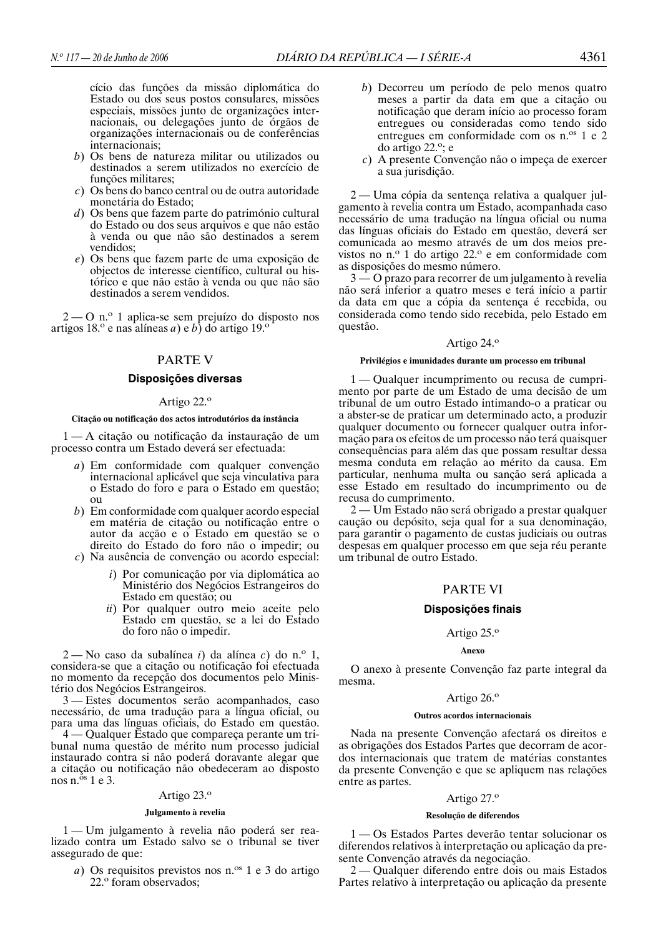cício das funções da missão diplomática do Estado ou dos seus postos consulares, missões especiais, missões junto de organizações internacionais, ou delegações junto de órgãos de organizações internacionais ou de conferências internacionais;

- *b*) Os bens de natureza militar ou utilizados ou destinados a serem utilizados no exercício de funções militares;
- *c*) Os bens do banco central ou de outra autoridade monetária do Estado;
- *d*) Os bens que fazem parte do património cultural do Estado ou dos seus arquivos e que não estão à venda ou que não são destinados a serem vendidos;
- *e*) Os bens que fazem parte de uma exposição de objectos de interesse científico, cultural ou histórico e que não estão à venda ou que não são destinados a serem vendidos.

2 — O n.º 1 aplica-se sem prejuízo do disposto nos artigos 18. $\degree$  e nas alíneas *a*) e *b*) do artigo 19. $\degree$ 

# PARTE V

# **Disposições diversas**

## Artigo  $22.^{\circ}$

## **Citação ou notificação dos actos introdutórios da instância**

1 — A citação ou notificação da instauração de um processo contra um Estado deverá ser efectuada:

- *a*) Em conformidade com qualquer convenção internacional aplicável que seja vinculativa para o Estado do foro e para o Estado em questão; ou
- *b*) Em conformidade com qualquer acordo especial em matéria de citação ou notificação entre o autor da acção e o Estado em questão se o direito do Estado do foro não o impedir; ou
- *c*) Na ausência de convenção ou acordo especial:
	- *i*) Por comunicação por via diplomática ao Ministério dos Negócios Estrangeiros do Estado em questão; ou
	- *ii*) Por qualquer outro meio aceite pelo Estado em questão, se a lei do Estado do foro não o impedir.

2 — No caso da subalínea *i*) da alínea *c*) do n.º 1, considera-se que a citação ou notificação foi efectuada no momento da recepção dos documentos pelo Ministério dos Negócios Estrangeiros.

3 — Estes documentos serão acompanhados, caso necessário, de uma tradução para a língua oficial, ou para uma das línguas oficiais, do Estado em questão.

4 — Qualquer Estado que compareça perante um tribunal numa questão de mérito num processo judicial instaurado contra si não poderá doravante alegar que a citação ou notificação não obedeceram ao disposto nos n. $\rm{^{os}}$  1 e 3.

#### Artigo  $23.°$

#### **Julgamento à revelia**

1 — Um julgamento à revelia não poderá ser realizado contra um Estado salvo se o tribunal se tiver assegurado de que:

*a*) Os requisitos previstos nos n.<sup>os</sup> 1 e 3 do artigo 22.º foram observados;

- *b*) Decorreu um período de pelo menos quatro meses a partir da data em que a citação ou notificação que deram início ao processo foram entregues ou consideradas como tendo sido entregues em conformidade com os n.<sup>os</sup> 1 e 2 do artigo 22.º; e
- *c*) A presente Convenção não o impeça de exercer a sua jurisdição.

2 — Uma cópia da sentença relativa a qualquer julgamento à revelia contra um Estado, acompanhada caso necessário de uma tradução na língua oficial ou numa das línguas oficiais do Estado em questão, deverá ser comunicada ao mesmo através de um dos meios previstos no n.º 1 do artigo 22.º e em conformidade com as disposições do mesmo número.

3 — O prazo para recorrer de um julgamento à revelia não será inferior a quatro meses e terá início a partir da data em que a cópia da sentença é recebida, ou considerada como tendo sido recebida, pelo Estado em questão.

## Artigo 24.<sup>o</sup>

# **Privilégios e imunidades durante um processo em tribunal**

1 — Qualquer incumprimento ou recusa de cumprimento por parte de um Estado de uma decisão de um tribunal de um outro Estado intimando-o a praticar ou a abster-se de praticar um determinado acto, a produzir qualquer documento ou fornecer qualquer outra informação para os efeitos de um processo não terá quaisquer consequências para além das que possam resultar dessa mesma conduta em relação ao mérito da causa. Em particular, nenhuma multa ou sanção será aplicada a esse Estado em resultado do incumprimento ou de recusa do cumprimento.

2 — Um Estado não será obrigado a prestar qualquer caução ou depósito, seja qual for a sua denominação, para garantir o pagamento de custas judiciais ou outras despesas em qualquer processo em que seja réu perante um tribunal de outro Estado.

## PARTE VI

## **Disposições finais**

## Artigo 25.º

## **Anexo**

O anexo à presente Convenção faz parte integral da mesma.

## Artigo  $26.$ <sup>o</sup>

#### **Outros acordos internacionais**

Nada na presente Convenção afectará os direitos e as obrigações dos Estados Partes que decorram de acordos internacionais que tratem de matérias constantes da presente Convenção e que se apliquem nas relações entre as partes.

# Artigo 27.º

## **Resolução de diferendos**

1 — Os Estados Partes deverão tentar solucionar os diferendos relativos à interpretação ou aplicação da presente Convenção através da negociação.

2 — Qualquer diferendo entre dois ou mais Estados Partes relativo à interpretação ou aplicação da presente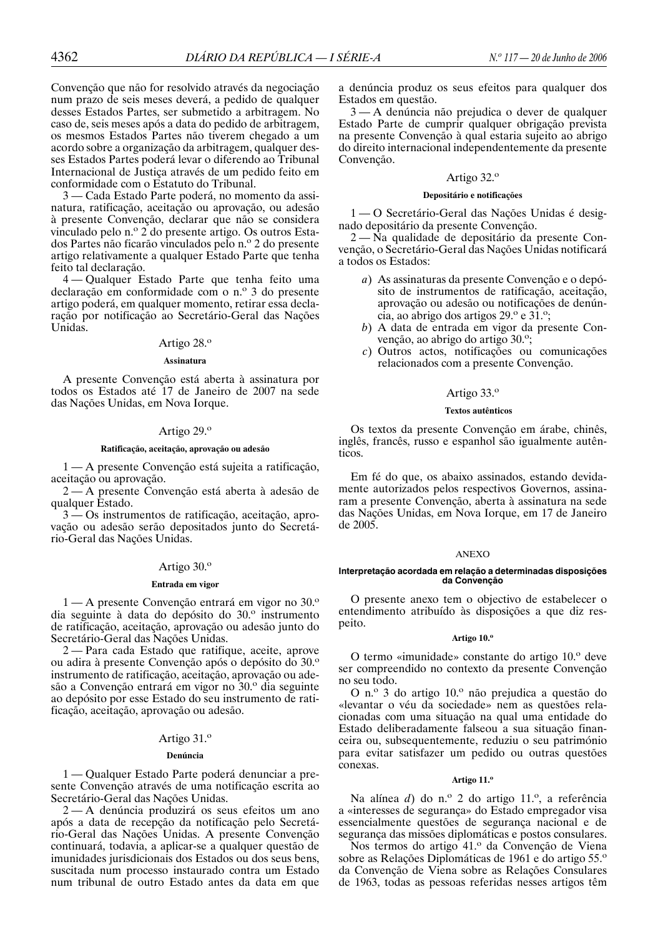Convenção que não for resolvido através da negociação num prazo de seis meses deverá, a pedido de qualquer desses Estados Partes, ser submetido a arbitragem. No caso de, seis meses após a data do pedido de arbitragem, os mesmos Estados Partes não tiverem chegado a um acordo sobre a organização da arbitragem, qualquer desses Estados Partes poderá levar o diferendo ao Tribunal Internacional de Justiça através de um pedido feito em conformidade com o Estatuto do Tribunal.

3 — Cada Estado Parte poderá, no momento da assinatura, ratificação, aceitação ou aprovação, ou adesão à presente Convenção, declarar que não se considera vinculado pelo n.º 2 do presente artigo. Os outros Estados Partes não ficarão vinculados pelo n.º 2 do presente artigo relativamente a qualquer Estado Parte que tenha feito tal declaração.

4 — Qualquer Estado Parte que tenha feito uma declaração em conformidade com o n.º 3 do presente artigo poderá, em qualquer momento, retirar essa declaração por notificação ao Secretário-Geral das Nações Unidas.

#### Artigo  $28.°$

#### **Assinatura**

A presente Convenção está aberta à assinatura por todos os Estados até 17 de Janeiro de 2007 na sede das Nações Unidas, em Nova Iorque.

## Artigo  $29.°$

## **Ratificação, aceitação, aprovação ou adesão**

1 — A presente Convenção está sujeita a ratificação, aceitação ou aprovação.

2 — A presente Convenção está aberta à adesão de qualquer Estado.

3 — Os instrumentos de ratificação, aceitação, aprovação ou adesão serão depositados junto do Secretário-Geral das Nações Unidas.

#### Artigo  $30$ . $^{\circ}$

## **Entrada em vigor**

1 — A presente Convenção entrará em vigor no 30.<sup>o</sup> dia seguinte à data do depósito do  $30^\circ$  instrumento de ratificação, aceitação, aprovação ou adesão junto do Secretário-Geral das Nações Unidas.

2 — Para cada Estado que ratifique, aceite, aprove ou adira à presente Convenção após o depósito do 30.º instrumento de ratificação, aceitação, aprovação ou adesão a Convenção entrará em vigor no 30.º dia seguinte ao depósito por esse Estado do seu instrumento de ratificação, aceitação, aprovação ou adesão.

#### Artigo  $31$ <sup>o</sup>

#### **Denúncia**

1 — Qualquer Estado Parte poderá denunciar a presente Convenção através de uma notificação escrita ao Secretário-Geral das Nações Unidas.

2 — A denúncia produzirá os seus efeitos um ano após a data de recepção da notificação pelo Secretário-Geral das Nações Unidas. A presente Convenção continuará, todavia, a aplicar-se a qualquer questão de imunidades jurisdicionais dos Estados ou dos seus bens, suscitada num processo instaurado contra um Estado num tribunal de outro Estado antes da data em que a denúncia produz os seus efeitos para qualquer dos Estados em questão.

3 — A denúncia não prejudica o dever de qualquer Estado Parte de cumprir qualquer obrigação prevista na presente Convenção à qual estaria sujeito ao abrigo do direito internacional independentemente da presente Convenção.

## Artigo 32.<sup>o</sup>

## **Depositário e notificações**

1 — O Secretário-Geral das Nações Unidas é designado depositário da presente Convenção.

2 — Na qualidade de depositário da presente Convenção, o Secretário-Geral das Nações Unidas notificará a todos os Estados:

- *a*) As assinaturas da presente Convenção e o depósito de instrumentos de ratificação, aceitação, aprovação ou adesão ou notificações de denúncia, ao abrigo dos artigos 29.º e 31.º;
- *b*) A data de entrada em vigor da presente Convenção, ao abrigo do artigo 30.º;
- *c*) Outros actos, notificações ou comunicações relacionados com a presente Convenção.

## Artigo 33.º

#### **Textos autênticos**

Os textos da presente Convenção em árabe, chinês, inglês, francês, russo e espanhol são igualmente autênticos.

Em fé do que, os abaixo assinados, estando devidamente autorizados pelos respectivos Governos, assinaram a presente Convenção, aberta à assinatura na sede das Nações Unidas, em Nova Iorque, em 17 de Janeiro de 2005.

#### ANEXO

#### **Interpretação acordada em relação a determinadas disposições da Convenção**

O presente anexo tem o objectivo de estabelecer o entendimento atribuído às disposições a que diz respeito.

# **Artigo 10.o**

O termo «imunidade» constante do artigo 10.º deve ser compreendido no contexto da presente Convenção no seu todo.

O n.º 3 do artigo 10.º não prejudica a questão do «levantar o véu da sociedade» nem as questões relacionadas com uma situação na qual uma entidade do Estado deliberadamente falseou a sua situação financeira ou, subsequentemente, reduziu o seu património para evitar satisfazer um pedido ou outras questões conexas.

#### **Artigo 11.o**

Na alínea *d*) do n.º 2 do artigo 11.º, a referência a «interesses de segurança» do Estado empregador visa essencialmente questões de segurança nacional e de segurança das missões diplomáticas e postos consulares.

Nos termos do artigo 41.º da Convenção de Viena sobre as Relações Diplomáticas de 1961 e do artigo 55.<sup>o</sup> da Convenção de Viena sobre as Relações Consulares de 1963, todas as pessoas referidas nesses artigos têm